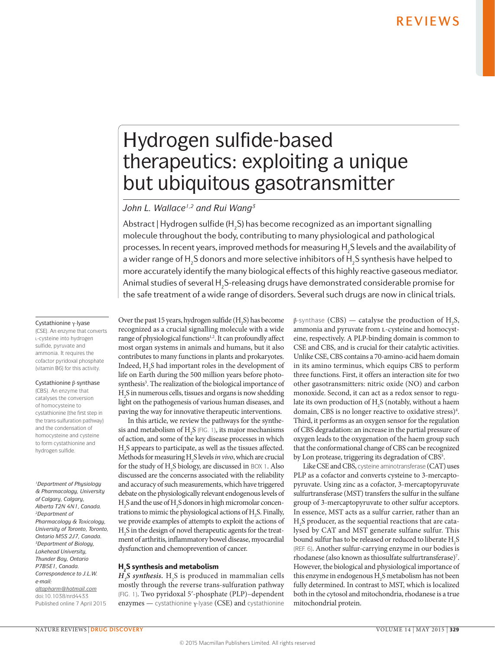# Hydrogen sulfide-based therapeutics: exploiting a unique but ubiquitous gasotransmitter

### *John L. Wallace1,2 and Rui Wang3*

Abstract | Hydrogen sulfide (H<sub>2</sub>S) has become recognized as an important signalling molecule throughout the body, contributing to many physiological and pathological processes. In recent years, improved methods for measuring  $\mathsf{H}_\mathfrak{z}$ S levels and the availability of a wider range of  ${\sf H_2S}$  donors and more selective inhibitors of  ${\sf H_2S}$  synthesis have helped to more accurately identify the many biological effects of this highly reactive gaseous mediator. Animal studies of several H<sub>2</sub>S-releasing drugs have demonstrated considerable promise for the safe treatment of a wide range of disorders. Several such drugs are now in clinical trials.

### Cystathionine γ‑lyase

(CSE). An enzyme that converts L-cysteine into hydrogen sulfide, pyruvate and ammonia. It requires the cofactor pyridoxal phosphate (vitamin B6) for this activity.

### Cystathionine β‑synthase

(CBS). An enzyme that catalyses the conversion of homocysteine to cystathionine (the first step in the trans-sulfuration pathway) and the condensation of homocysteine and cysteine to form cystathionine and hydrogen sulfide.

*1Department of Physiology & Pharmacology, University of Calgary, Calgary, Alberta T2N 4N1, Canada. 2Department of Pharmacology & Toxicology, University of Toronto, Toronto, Ontario M5S 2J7, Canada. 3Department of Biology, Lakehead University, Thunder Bay, Ontario P7B5E1, Canada. Correspondence to J.L.W. e‑mail: [altapharm@hotmail.com](mailto:altapharm@hotmail.com)* doi:10.1038/nrd4433 Published online 7 April 2015

Over the past 15 years, hydrogen sulfide  $(H_2S)$  has become recognized as a crucial signalling molecule with a wide range of physiological functions<sup>1,2</sup>. It can profoundly affect most organ systems in animals and humans, but it also contributes to many functions in plants and prokaryotes. Indeed,  $H_2S$  had important roles in the development of life on Earth during the 500 million years before photosynthesis<sup>3</sup>. The realization of the biological importance of H2 S in numerous cells, tissues and organs is now shedding light on the pathogenesis of various human diseases, and paving the way for innovative therapeutic interventions.

In this article, we review the pathways for the synthesis and metabolism of  $H_2S$  (FIG. 1), its major mechanisms of action, and some of the key disease processes in which H2 S appears to participate, as well as the tissues affected. Methods for measuring H2 S levels *in vivo*, which are crucial for the study of  $H_2S$  biology, are discussed in BOX 1. Also discussed are the concerns associated with the reliability and accuracy of such measurements, which have triggered debate on the physiologically relevant endogenous levels of  $\rm H_2$ S and the use of  $\rm H_2$ S donors in high micromolar concentrations to mimic the physiological actions of  $H_2S$ . Finally, we provide examples of attempts to exploit the actions of  $\mathrm{H}_2\mathrm{S}\,\text{in}$  the design of novel therapeutic agents for the treatment of arthritis, inflammatory bowel disease, myocardial dysfunction and chemoprevention of cancer.

### $\mathsf{H}_\mathsf{2}\mathsf{S}$  synthesis and metabolism

 $H_{2}S$  *synthesis*.  $H_{2}S$  is produced in mammalian cells mostly through the reverse trans-sulfuration pathway (FIG. 1). Two pyridoxal 5ʹ-phosphate (PLP)–dependent enzymes — cystathionine γ‑lyase (CSE) and cystathionine

β-synthase (CBS) — catalyse the production of  $H_2S$ , ammonia and pyruvate from L-cysteine and homocysteine, respectively. A PLP-binding domain is common to CSE and CBS, and is crucial for their catalytic activities. Unlike CSE, CBS contains a 70-amino-acid haem domain in its amino terminus, which equips CBS to perform three functions. First, it offers an interaction site for two other gasotransmitters: nitric oxide (NO) and carbon monoxide. Second, it can act as a redox sensor to regulate its own production of  $H_2S$  (notably, without a haem domain, CBS is no longer reactive to oxidative stress)<sup>4</sup>. Third, it performs as an oxygen sensor for the regulation of CBS degradation: an increase in the partial pressure of oxygen leads to the oxygenation of the haem group such that the conformational change of CBS can be recognized by Lon protease, triggering its degradation of CBS<sup>5</sup>.

Like CSE and CBS, cysteine aminotransferase (CAT) uses PLP as a cofactor and converts cysteine to 3-mercaptopyruvate. Using zinc as a cofactor, 3-mercaptopyruvate sulfurtransferase (MST) transfers the sulfur in the sulfane group of 3-mercaptopyruvate to other sulfur acceptors. In essence, MST acts as a sulfur carrier, rather than an H2 S producer, as the sequential reactions that are catalysed by CAT and MST generate sulfane sulfur. This bound sulfur has to be released or reduced to liberate  $\mathrm{H}_2\mathrm{S}$ (REF. 6). Another sulfur-carrying enzyme in our bodies is rhodanese (also known as thiosulfate sulfurtransferase)7 . However, the biological and physiological importance of this enzyme in endogenous  $H_2S$  metabolism has not been fully determined. In contrast to MST, which is localized both in the cytosol and mitochondria, rhodanese is a true mitochondrial protein.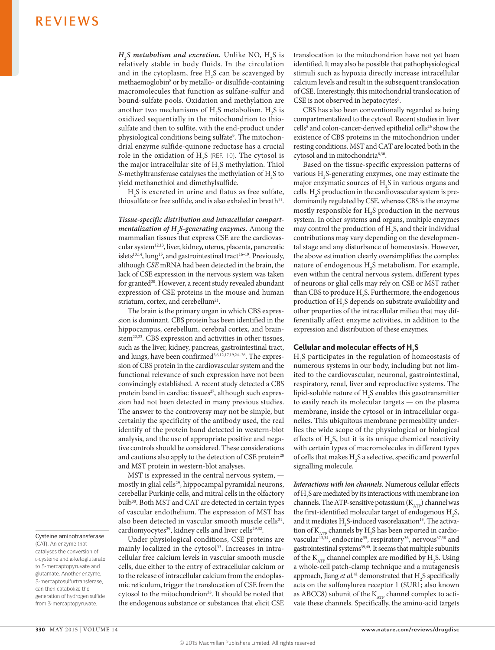$H_2^S$  *metabolism and excretion*. Unlike NO,  $H_2^S$  is relatively stable in body fluids. In the circulation and in the cytoplasm, free  $H_2S$  can be scavenged by methaemoglobin8 or by metallo- or disulfide-containing macromolecules that function as sulfane-sulfur and bound-sulfate pools. Oxidation and methylation are another two mechanisms of  $H_2S$  metabolism.  $H_2S$  is oxidized sequentially in the mitochondrion to thiosulfate and then to sulfite, with the end-product under physiological conditions being sulfate<sup>9</sup>. The mitochondrial enzyme sulfide-quinone reductase has a crucial role in the oxidation of  $H_2S$  (REF. 10). The cytosol is the major intracellular site of  $H<sub>2</sub>S$  methylation. Thiol *S*-methyltransferase catalyses the methylation of  $H_2S$  to yield methanethiol and dimethylsulfide.

 $H<sub>2</sub>S$  is excreted in urine and flatus as free sulfate, thiosulfate or free sulfide, and is also exhaled in breath $11$ .

*Tissue-specific distribution and intracellular compartmentalization of H2 S-generating enzymes.* Among the mammalian tissues that express CSE are the cardiovascular system<sup>12,13</sup>, liver, kidney, uterus, placenta, pancreatic islets<sup>13,14</sup>, lung<sup>15</sup>, and gastrointestinal tract<sup>16–19</sup>. Previously, although *CSE* mRNA had been detected in the brain, the lack of CSE expression in the nervous system was taken for granted<sup>20</sup>. However, a recent study revealed abundant expression of CSE proteins in the mouse and human striatum, cortex, and cerebellum<sup>21</sup>.

The brain is the primary organ in which CBS expression is dominant. CBS protein has been identified in the hippocampus, cerebellum, cerebral cortex, and brainstem<sup>22,23</sup>. CBS expression and activities in other tissues, such as the liver, kidney, pancreas, gastrointestinal tract, and lungs, have been confirmed<sup>5,6,12,17,19,24-26</sup>. The expression of CBS protein in the cardiovascular system and the functional relevance of such expression have not been convincingly established. A recent study detected a CBS protein band in cardiac tissues<sup>27</sup>, although such expression had not been detected in many previous studies. The answer to the controversy may not be simple, but certainly the specificity of the antibody used, the real identify of the protein band detected in western-blot analysis, and the use of appropriate positive and negative controls should be considered. These considerations and cautions also apply to the detection of CSE protein<sup>28</sup> and MST protein in western-blot analyses.

MST is expressed in the central nervous system, mostly in glial cells<sup>29</sup>, hippocampal pyramidal neurons, cerebellar Purkinje cells, and mitral cells in the olfactory bulb<sup>30</sup>. Both MST and CAT are detected in certain types of vascular endothelium. The expression of MST has also been detected in vascular smooth muscle cells<sup>31</sup>, cardiomyocytes<sup>29</sup>, kidney cells and liver cells<sup>29,32</sup>.

Under physiological conditions, CSE proteins are mainly localized in the cytosol<sup>33</sup>. Increases in intracellular free calcium levels in vascular smooth muscle cells, due either to the entry of extracellular calcium or to the release of intracellular calcium from the endoplasmic reticulum, trigger the translocation of CSE from the cytosol to the mitochondrion<sup>33</sup>. It should be noted that the endogenous substance or substances that elicit CSE translocation to the mitochondrion have not yet been identified. It may also be possible that pathophysiological stimuli such as hypoxia directly increase intracellular calcium levels and result in the subsequent translocation of CSE. Interestingly, this mitochondrial translocation of CSE is not observed in hepatocytes<sup>5</sup>.

CBS has also been conventionally regarded as being compartmentalized to the cytosol. Recent studies in liver cells<sup>5</sup> and colon-cancer-derived epithelial cells<sup>26</sup> show the existence of CBS proteins in the mitochondrion under resting conditions. MST and CAT are located both in the cytosol and in mitochondria<sup>6,30</sup>.

Based on the tissue-specific expression patterns of various  $H_2S$ -generating enzymes, one may estimate the major enzymatic sources of  $H_2$ S in various organs and cells.  $H_2$ S production in the cardiovascular system is predominantly regulated by CSE, whereas CBS is the enzyme mostly responsible for  $H_2S$  production in the nervous system. In other systems and organs, multiple enzymes may control the production of  $H_2S$ , and their individual contributions may vary depending on the developmental stage and any disturbance of homeostasis. However, the above estimation clearly oversimplifies the complex nature of endogenous  $H_2S$  metabolism. For example, even within the central nervous system, different types of neurons or glial cells may rely on CSE or MST rather than CBS to produce  $H_2S$ . Furthermore, the endogenous production of  $H_2S$  depends on substrate availability and other properties of the intracellular milieu that may differentially affect enzyme activities, in addition to the expression and distribution of these enzymes.

### Cellular and molecular effects of  $\mathsf{H}_\mathsf{2}\mathsf{S}$

H2 S participates in the regulation of homeostasis of numerous systems in our body, including but not limited to the cardiovascular, neuronal, gastrointestinal, respiratory, renal, liver and reproductive systems. The lipid-soluble nature of  $H_2S$  enables this gasotransmitter to easily reach its molecular targets — on the plasma membrane, inside the cytosol or in intracellular organelles. This ubiquitous membrane permeability underlies the wide scope of the physiological or biological effects of  $H_2S$ , but it is its unique chemical reactivity with certain types of macromolecules in different types of cells that makes  $H_2S$  a selective, specific and powerful signalling molecule.

*Interactions with ion channels.* Numerous cellular effects of  $H_2$ S are mediated by its interactions with membrane ion channels. The ATP-sensitive potassium ( $\text{K}_{\text{\tiny ATP}}$ ) channel was the first-identified molecular target of endogenous  $H_2S$ , and it mediates  $H_2S$ -induced vasorelaxation<sup>13</sup>. The activation of  $K_{ATP}$  channels by  $H_2S$  has been reported in cardiovascular<sup>13,34</sup>, endocrine<sup>35</sup>, respiratory<sup>36</sup>, nervous<sup>37,38</sup> and gastrointestinal systems<sup>39,40</sup>. It seems that multiple subunits of the  $K_{ATP}$  channel complex are modified by  $H_2S$ . Using a whole-cell patch-clamp technique and a mutagenesis approach, Jiang *et al.*<sup>41</sup> demonstrated that H<sub>2</sub>S specifically acts on the sulfonylurea receptor 1 (SUR1; also known as ABCC8) subunit of the  $K_{ATP}$  channel complex to activate these channels. Specifically, the amino-acid targets

Cysteine aminotransferase (CAT). An enzyme that catalyses the conversion of l‑cysteine and α‑ketoglutarate to 3‑mercaptopyruvate and glutamate. Another enzyme, 3‑mercaptosulfurtransferase, can then catabolize the generation of hydrogen sulfide from 3-mercaptopyruvate.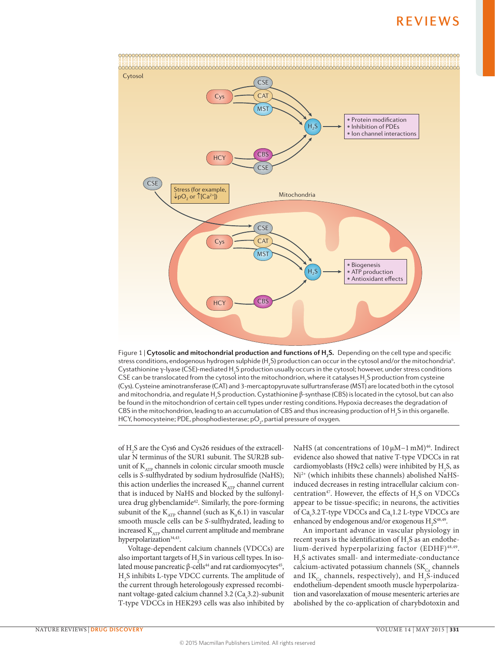

Department of types (SSL) modified type production deday observer the sycose, nonverse, and to these conditions of<br>CSE can be translocated from the cytosol into the mitochondrion, where it catalyses H<sub>2</sub>S production from c Figure 1 | **Cytosolic and mitochondrial production and functions of <b>H**<sub>2</sub>S. Depending on the cell type and specific stress conditions, endogenous hydrogen sulphide (H<sub>2</sub>S) production can occur in the cytosol and/or the mitochondria<sup>6</sup>. Cystathionine γ-lyase (CSE)-mediated H<sub>2</sub>S production usually occurs in the cytosol; however, under stress conditions (Cys). Cysteine aminotransferase (CAT) and 3-mercaptopyruvate sulfurtransferase (MST) are located both in the cytosol and mitochondria, and regulate H<sub>2</sub>S production. Cystathionine β-synthase (CBS) is located in the cytosol, but can also be found in the mitochondrion of certain cell types under resting conditions. Hypoxia decreases the degradation of CBS in the mitochondrion, leading to an accumulation of CBS and thus increasing production of  ${\sf H_2S}$  in this organelle. HCY, homocysteine; PDE, phosphodiesterase; p $\mathrm{O}_{\scriptscriptstyle{2}}$ , partial pressure of oxygen.

of H2 S are the Cys6 and Cys26 residues of the extracellular N terminus of the SUR1 subunit. The SUR2B subunit of  $K_{ATP}$  channels in colonic circular smooth muscle cells is *S*-sulfhydrated by sodium hydrosulfide (NaHS); this action underlies the increased  $K_{ATP}$  channel current that is induced by NaHS and blocked by the sulfonylurea drug glybenclamide<sup>42</sup>. Similarly, the pore-forming subunit of the  $K_{ATP}$  channel (such as  $K_{i.6}$ .1) in vascular smooth muscle cells can be *S*-sulfhydrated, leading to increased  $\text{K}_{\text{\tiny ATP}}$  channel current amplitude and membrane hyperpolarization<sup>34,43</sup>.

Voltage-dependent calcium channels (VDCCs) are also important targets of  $\rm H_2S$  in various cell types. In isolated mouse pancreatic β-cells<sup>44</sup> and rat cardiomyocytes<sup>45</sup>, H2 S inhibits L-type VDCC currents. The amplitude of the current through heterologously expressed recombinant voltage-gated calcium channel 3.2 ( $\text{Ca}_{\mathbf{v}}$ 3.2)-subunit T-type VDCCs in HEK293 cells was also inhibited by NaHS (at concentrations of 10 μM−1 mM)<sup>46</sup>. Indirect evidence also showed that native T-type VDCCs in rat cardiomyoblasts (H9c2 cells) were inhibited by  $H_2S$ , as Ni2+ (which inhibits these channels) abolished NaHSinduced decreases in resting intracellular calcium concentration<sup>47</sup>. However, the effects of  $H_2S$  on VDCCs appear to be tissue-specific; in neurons, the activities of  $\text{Ca}_v$ 3.2 T-type VDCCs and  $\text{Ca}_v$ 1.2 L-type VDCCs are enhanced by endogenous and/or exogenous  $H_2S^{48,49}$ .

An important advance in vascular physiology in recent years is the identification of  $H_2S$  as an endothelium-derived hyperpolarizing factor (EDHF)48,49.  $H<sub>2</sub>S$  activates small- and intermediate-conductance calcium-activated potassium channels ( $SK<sub>Ca</sub>$  channels and  $\text{IK}_{\text{Ca}}$  channels, respectively), and  $\text{H}_{2}\text{S-induced}$ endothelium-dependent smooth muscle hyperpolarization and vasorelaxation of mouse mesenteric arteries are abolished by the co-application of charybdotoxin and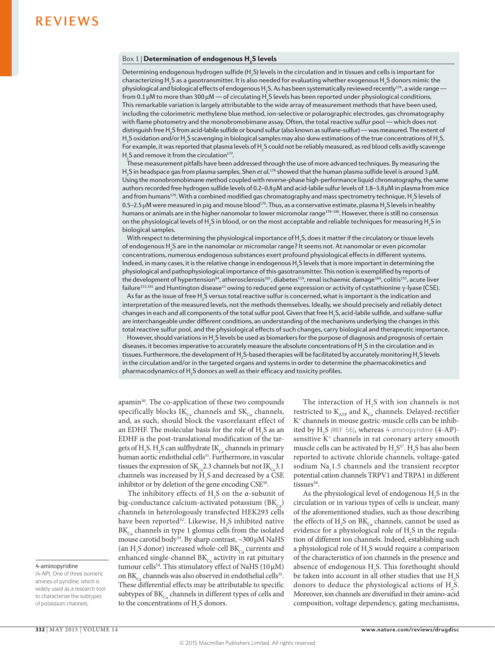### $\frac{Box 1}{ }$  Determination of endogenous H<sub>2</sub>S levels

Determining endogenous hydrogen sulfide (H<sub>2</sub>S) levels in the circulation and in tissues and cells is important for characterizing H<sub>2</sub>S as a gasotransmitter. It is also needed for evaluating whether exogenous H<sub>2</sub>S donors mimic the physiological and biological effects of endogenous H<sub>2</sub>S. As has been systematically reviewed recently<sup>176</sup>, a wide range from 0.1  $\mu$ M to more than 300  $\mu$ M — of circulating H $_2$ S levels has been reported under physiological conditions. This remarkable variation is largely attributable to the wide array of measurement methods that have been used, including the colorimetric methylene blue method, ion-selective or polarographic electrodes, gas chromatography with flame photometry and the monobromobimane assay. Often, the total reactive sulfur pool — which does not distinguish free H<sub>2</sub>S from acid-labile sulfide or bound sulfur (also known as sulfane-sulfur) — was measured. The extent of H<sub>2</sub>S oxidation and/or H<sub>2</sub>S scavenging in biological samples may also skew estimations of the true concentrations of H<sub>2</sub>S. For example, it was reported that plasma levels of H<sub>2</sub>S could not be reliably measured, as red blood cells avidly scavenge  $H<sub>2</sub>S$  and remove it from the circulation<sup>177</sup>.

These measurement pitfalls have been addressed through the use of more advanced techniques. By measuring the H2 S in headspace gas from plasma samples, Shen *et al.*178 showed that the human plasma sulfide level is around 3μM. Using the monobromobimane method coupled with reverse-phase high-performance liquid chromatography, the same authors recorded free hydrogen sulfide levels of 0.2–0.8μM and acid-labile sulfur levels of 1.8–3.8μM in plasma from mice and from humans $^{178}$ . With a combined modified gas chromatography and mass spectrometry technique,  ${\sf H_2S}$  levels of 0.5–2.5 μM were measured in pig and mouse blood $^{176}$ . Thus, as a conservative estimate, plasma H<sub>2</sub>S levels in healthy humans or animals are in the higher nanomolar to lower micromolar range<sup>178–180</sup>. However, there is still no consensus on the physiological levels of  $\rm H_2S$  in blood, or on the most acceptable and reliable techniques for measuring  $\rm H_2S$  in biological samples.

With respect to determining the physiological importance of  ${\sf H_2S}$ , does it matter if the circulatory or tissue levels of endogenous  $\mathsf{H}_{_2} \mathsf{S}$  are in the nanomolar or micromolar range? It seems not. At nanomolar or even picomolar concentrations, numerous endogenous substances exert profound physiological effects in different systems. Indeed, in many cases, it is the relative change in endogenous  ${\sf H_2S}$  levels that is more important in determining the physiological and pathophysiological importance of this gasotransmitter. This notion is exemplified by reports of the development of hypertension<sup>94</sup>, atherosclerosis<sup>101</sup>, diabetes<sup>119</sup>, renal ischaemic damage<sup>180</sup>, colitis<sup>155</sup>, acute liver failure<sup>153,181</sup> and Huntington disease<sup>21</sup> owing to reduced gene expression or activity of cystathionine γ-lyase (CSE).

As far as the issue of free H<sub>2</sub>S versus total reactive sulfur is concerned, what is important is the indication and interpretation of the measured levels, not the methods themselves. Ideally, we should precisely and reliably detect changes in each and all components of the total sulfur pool. Given that free H2 S, acid-labile sulfide, and sulfane-sulfur are interchangeable under different conditions, an understanding of the mechanisms underlying the changes in this total reactive sulfur pool, and the physiological effects of such changes, carry biological and therapeutic importance.

However, should variations in H<sub>2</sub>S levels be used as biomarkers for the purpose of diagnosis and prognosis of certain diseases, it becomes imperative to accurately measure the absolute concentrations of  $\mathsf{H}_{_2} \mathsf{S}$  in the circulation and in tissues. Furthermore, the development of H<sub>2</sub>S-based therapies will be facilitated by accurately monitoring H<sub>2</sub>S levels in the circulation and/or in the targeted organs and systems in order to determine the pharmacokinetics and pharmacodynamics of  $\mathsf{H}_{\mathsf{2}}\mathsf{S}$  donors as well as their efficacy and toxicity profiles.

apamin<sup>50</sup>. The co-application of these two compounds specifically blocks  $IK_{Ca}$  channels and  $SK_{Ca}$  channels, and, as such, should block the vasorelaxant effect of an EDHF. The molecular basis for the role of  $\rm H_2^{\phantom i}$ S as an EDHF is the post-translational modification of the targets of H<sub>2</sub>S. H<sub>2</sub>S can sulfhydrate IK<sub> $_{\text{Ca}}$ </sub> channels in primary human aortic endothelial cells<sup>51</sup>. Furthermore, in vascular tissues the expression of  $SK_{C_2}$ 2.3 channels but not  $IK_{C_3}$ 3.1 channels was increased by  $H_2S$  and decreased by a CSE inhibitor or by deletion of the gene encoding CSE<sup>50</sup>.

The inhibitory effects of  $H_2S$  on the  $\alpha$ -subunit of big-conductance calcium-activated potassium  $(BK_{c})$ channels in heterologously transfected HEK293 cells have been reported<sup>52</sup>. Likewise,  $H_2S$  inhibited native  $BK_{C_2}$  channels in type 1 glomus cells from the isolated mouse carotid body<sup>53</sup>. By sharp contrast, ~300 μM NaHS (an H<sub>2</sub>S donor) increased whole-cell BK<sub>Ca</sub> currents and enhanced single-channel  $BK_{Ca}$  activity in rat pituitary tumour cells<sup>54</sup>. This stimulatory effect of NaHS ( $10 \mu$ M) on  $BK_{C_3}$  channels was also observed in endothelial cells<sup>55</sup>. These differential effects may be attributable to specific subtypes of  $BK_{C_4}$  channels in different types of cells and to the concentrations of  $H_2S$  donors.

The interaction of  $H_2S$  with ion channels is not restricted to  $K_{ATP}$  and  $K_{Ca}$  channels. Delayed-rectifier K+ channels in mouse gastric-muscle cells can be inhibited by  $\rm{H}_{2}S$  (REF. 56), whereas 4-aminopyridine (4-AP)sensitive  $K^+$  channels in rat coronary artery smooth muscle cells can be activated by  $H_2S^{57}$ .  $H_2S$  has also been reported to activate chloride channels, voltage-gated sodium  $\text{Na}_{\text{v}}1.5$  channels and the transient receptor potential cation channels TRPV1 and TRPA1 in different tissues<sup>58</sup>.

As the physiological level of endogenous  $H_2S$  in the circulation or in various types of cells is unclear, many of the aforementioned studies, such as those describing the effects of  $H_2$ S on  $BK_{Ca}$  channels, cannot be used as evidence for a physiological role of  $H_2S$  in the regulation of different ion channels. Indeed, establishing such a physiological role of  $H_2S$  would require a comparison of the characteristics of ion channels in the presence and absence of endogenous  $H_2S$ . This forethought should be taken into account in all other studies that use  $H_2S$ donors to deduce the physiological actions of  $H_2S$ . Moreover, ion channels are diversified in their amino-acid composition, voltage dependency, gating mechanisms,

### 4-aminopyridine

<sup>(4‑</sup>AP). One of three isomeric amines of pyridine, which is widely used as a research tool to characterize the subtypes of potassium channels.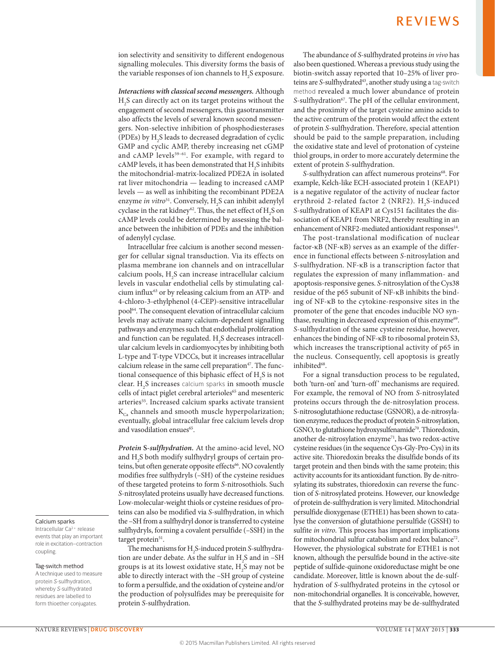ion selectivity and sensitivity to different endogenous signalling molecules. This diversity forms the basis of the variable responses of ion channels to  $\rm H_2S$  exposure.

*Interactions with classical second messengers.* Although  $H<sub>2</sub>S$  can directly act on its target proteins without the engagement of second messengers, this gasotransmitter also affects the levels of several known second messengers. Non-selective inhibition of phosphodiesterases (PDEs) by  $H_2S$  leads to decreased degradation of cyclic GMP and cyclic AMP, thereby increasing net cGMP and cAMP levels<sup>59-61</sup>. For example, with regard to cAMP levels, it has been demonstrated that  $H_2S$  inhibits the mitochondrial-matrix-localized PDE2A in isolated rat liver mitochondria — leading to increased cAMP levels — as well as inhibiting the recombinant PDE2A enzyme *in vitro*<sup>51</sup>. Conversely, H<sub>2</sub>S can inhibit adenylyl cyclase in the rat kidney<sup>62</sup>. Thus, the net effect of  $H_2S$  on cAMP levels could be determined by assessing the balance between the inhibition of PDEs and the inhibition of adenylyl cyclase.

Intracellular free calcium is another second messenger for cellular signal transduction. Via its effects on plasma membrane ion channels and on intracellular calcium pools, H2 S can increase intracellular calcium levels in vascular endothelial cells by stimulating calcium influx<sup>63</sup> or by releasing calcium from an ATP- and 4-chloro-3-ethylphenol (4-CEP)-sensitive intracellular pool64. The consequent elevation of intracellular calcium levels may activate many calcium-dependent signalling pathways and enzymes such that endothelial proliferation and function can be regulated.  $H_2S$  decreases intracellular calcium levels in cardiomyocytes by inhibiting both L-type and T-type VDCCs, but it increases intracellular calcium release in the same cell preparation<sup>47</sup>. The functional consequence of this biphasic effect of  $H_2S$  is not clear. H<sub>2</sub>S increases calcium sparks in smooth muscle cells of intact piglet cerebral arterioles<sup>65</sup> and mesenteric arteries<sup>55</sup>. Increased calcium sparks activate transient  $K_{\text{c}}$  channels and smooth muscle hyperpolarization; eventually, global intracellular free calcium levels drop and vasodilation ensues<sup>65</sup>.

*Protein* **S***-sulfhydration.* At the amino-acid level, NO and  $\mathrm{H}_2\mathrm{S}$  both modify sulfhydryl groups of certain proteins, but often generate opposite effects<sup>66</sup>. NO covalently modifies free sulfhydryls (–SH) of the cysteine residues of these targeted proteins to form *S*-nitrosothiols. Such *S*-nitrosylated proteins usually have decreased functions. Low-molecular-weight thiols or cysteine residues of proteins can also be modified via *S*-sulfhydration, in which the –SH from a sulfhydryl donor is transferred to cysteine sulfhydryls, forming a covalent persulfide (–SSH) in the target protein<sup>51</sup>.

The mechanisms for H<sub>2</sub>S-induced protein *S*-sulfhydration are under debate. As the sulfur in  $H_2S$  and in -SH groups is at its lowest oxidative state,  $\mathrm{H}_2\mathrm{S}$  may not be able to directly interact with the –SH group of cysteine to form a persulfide, and the oxidation of cysteine and/or the production of polysulfides may be prerequisite for protein *S*-sulfhydration.

The abundance of *S*-sulfhydrated proteins *in vivo* has also been questioned. Whereas a previous study using the biotin-switch assay reported that 10–25% of liver proteins are *S*-sulfhydrated<sup>43</sup>, another study using a tag-switch method revealed a much lower abundance of protein S-sulfhydration<sup>67</sup>. The pH of the cellular environment, and the proximity of the target cysteine amino acids to the active centrum of the protein would affect the extent of protein *S*-sulfhydration. Therefore, special attention should be paid to the sample preparation, including the oxidative state and level of protonation of cysteine thiol groups, in order to more accurately determine the extent of protein *S*-sulfhydration.

*S*-sulfhydration can affect numerous proteins<sup>68</sup>. For example, Kelch-like ECH-associated protein 1 (KEAP1) is a negative regulator of the activity of nuclear factor erythroid 2-related factor 2 (NRF2).  $H_2S$ -induced *S*-sulfhydration of KEAP1 at Cys151 facilitates the dissociation of KEAP1 from NRF2, thereby resulting in an enhancement of NRF2-mediated antioxidant responses<sup>14</sup>.

The post-translational modification of nuclear factor-κB (NF-κB) serves as an example of the difference in functional effects between *S*-nitrosylation and *S*-sulfhydration. NF-κB is a transcription factor that regulates the expression of many inflammation- and apoptosis-responsive genes. *S*-nitrosylation of the Cys38 residue of the p65 subunit of NF-κB inhibits the binding of NF-κB to the cytokine-responsive sites in the promoter of the gene that encodes inducible NO synthase, resulting in decreased expression of this enzyme<sup>69</sup>. *S*-sulfhydration of the same cysteine residue, however, enhances the binding of NF-κB to ribosomal protein S3, which increases the transcriptional activity of p65 in the nucleus. Consequently, cell apoptosis is greatly inhibited<sup>68</sup>.

For a signal transduction process to be regulated, both 'turn-on' and 'turn-off' mechanisms are required. For example, the removal of NO from *S*-nitrosylated proteins occurs through the de-nitrosylation process. S-nitrosoglutathione reductase (GSNOR), a de-nitrosylation enzyme, reduces the product of protein *S*-nitrosylation, GSNO, to glutathione hydroxysulfenamide<sup>70</sup>. Thioredoxin, another de-nitrosylation enzyme<sup>71</sup>, has two redox-active cysteine residues (in the sequence Cys-Gly-Pro-Cys) in its active site. Thioredoxin breaks the disulfide bonds of its target protein and then binds with the same protein; this activity accounts for its antioxidant function. By de-nitrosylating its substrates, thioredoxin can reverse the function of *S*-nitrosylated proteins. However, our knowledge of protein de-sulfhydration is very limited. Mitochondrial persulfide dioxygenase (ETHE1) has been shown to catalyse the conversion of glutathione persulfide (GSSH) to sulfite *in vitro*. This process has important implications for mitochondrial sulfur catabolism and redox balance<sup>72</sup>. However, the physiological substrate for ETHE1 is not known, although the persulfide bound in the active-site peptide of sulfide-quinone oxidoreductase might be one candidate. Moreover, little is known about the de-sulfhydration of *S*-sulfhydrated proteins in the cytosol or non-mitochondrial organelles. It is conceivable, however, that the *S*-sulfhydrated proteins may be de-sulfhydrated

### Calcium sparks

Intracellular Ca2+ release events that play an important role in excitation–contraction coupling.

### Tag-switch method

A technique used to measure protein *S*‑sulfhydration, whereby *S*‑sulfhydrated residues are labelled to form thioether conjugates.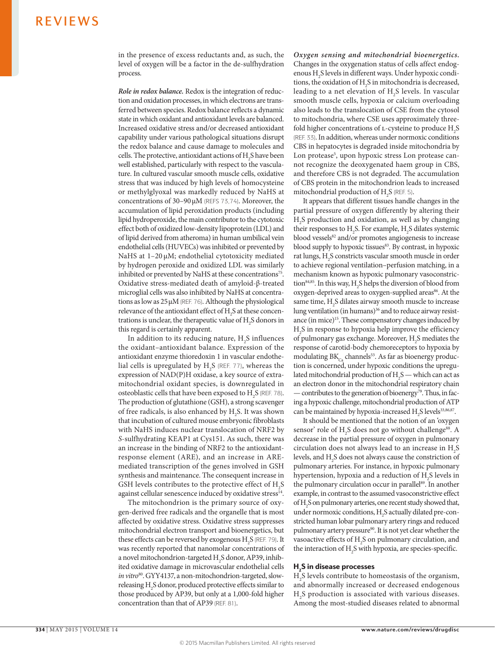in the presence of excess reductants and, as such, the level of oxygen will be a factor in the de-sulfhydration process.

*Role in redox balance.* Redox is the integration of reduction and oxidation processes, in which electrons are transferred between species. Redox balance reflects a dynamic state in which oxidant and antioxidant levels are balanced. Increased oxidative stress and/or decreased antioxidant capability under various pathological situations disrupt the redox balance and cause damage to molecules and cells. The protective, antioxidant actions of  $H_2$ S have been well established, particularly with respect to the vasculature. In cultured vascular smooth muscle cells, oxidative stress that was induced by high levels of homocysteine or methylglyoxal was markedly reduced by NaHS at concentrations of 30–90μM (REFS 73,74). Moreover, the accumulation of lipid peroxidation products (including lipid hydroperoxide, the main contributor to the cytotoxic effect both of oxidized low-density lipoprotein (LDL) and of lipid derived from atheroma) in human umbilical vein endothelial cells (HUVECs) was inhibited or prevented by NaHS at 1–20 μM; endothelial cytotoxicity mediated by hydrogen peroxide and oxidized LDL was similarly inhibited or prevented by NaHS at these concentrations<sup>75</sup>. Oxidative stress-mediated death of amyloid-β-treated microglial cells was also inhibited by NaHS at concentrations as low as 25μM (REF. 76). Although the physiological relevance of the antioxidant effect of  $H_2S$  at these concentrations is unclear, the therapeutic value of  $H_2S$  donors in this regard is certainly apparent.

In addition to its reducing nature,  $H_2S$  influences the oxidant–antioxidant balance. Expression of the antioxidant enzyme thioredoxin 1 in vascular endothelial cells is upregulated by  $H_2S$  (REF. 77), whereas the expression of NAD(P)H oxidase, a key source of extramitochondrial oxidant species, is downregulated in osteoblastic cells that have been exposed to  $H_2S$  (REF. 78). The production of glutathione (GSH), a strong scavenger of free radicals, is also enhanced by  $H_2S$ . It was shown that incubation of cultured mouse embryonic fibroblasts with NaHS induces nuclear translocation of NRF2 by *S*-sulfhydrating KEAP1 at Cys151. As such, there was an increase in the binding of NRF2 to the antioxidantresponse element (ARE), and an increase in AREmediated transcription of the genes involved in GSH synthesis and maintenance. The consequent increase in GSH levels contributes to the protective effect of  $\rm{H}_{2}S$ against cellular senescence induced by oxidative stress<sup>14</sup>.

The mitochondrion is the primary source of oxygen-derived free radicals and the organelle that is most affected by oxidative stress. Oxidative stress suppresses mitochondrial electron transport and bioenergetics, but these effects can be reversed by exogenous  $H_2S$  (REF. 79). It was recently reported that nanomolar concentrations of a novel mitochondrion-targeted  $\rm{H}_{2}S$  donor, AP39, inhibited oxidative damage in microvascular endothelial cells *in vitro*80. GYY4137, a non-mitochondrion-targeted, slowreleasing H2 S donor, produced protective effects similar to those produced by AP39, but only at a 1,000-fold higher concentration than that of AP39 (REF. 81).

*Oxygen sensing and mitochondrial bioenergetics.* Changes in the oxygenation status of cells affect endogenous H2 S levels in different ways. Under hypoxic conditions, the oxidation of  $H_2S$  in mitochondria is decreased, leading to a net elevation of  $H_2S$  levels. In vascular smooth muscle cells, hypoxia or calcium overloading also leads to the translocation of CSE from the cytosol to mitochondria, where CSE uses approximately threefold higher concentrations of  $\text{L}-\text{cysteine}$  to produce  $\text{H}_2\text{S}$ (REF. 33). In addition, whereas under normoxic conditions CBS in hepatocytes is degraded inside mitochondria by Lon protease<sup>5</sup>, upon hypoxic stress Lon protease cannot recognize the deoxygenated haem group in CBS, and therefore CBS is not degraded. The accumulation of CBS protein in the mitochondrion leads to increased mitochondrial production of  $H_2S$  (REF. 5).

It appears that different tissues handle changes in the partial pressure of oxygen differently by altering their H2 S production and oxidation, as well as by changing their responses to  $H_2S$ . For example,  $H_2S$  dilates systemic blood vessels<sup>82</sup> and/or promotes angiogenesis to increase blood supply to hypoxic tissues<sup>83</sup>. By contrast, in hypoxic rat lungs, H<sub>2</sub>S constricts vascular smooth muscle in order to achieve regional ventilation–perfusion matching, in a mechanism known as hypoxic pulmonary vasoconstriction<sup>84,85</sup>. In this way,  $H_2S$  helps the diversion of blood from oxygen-deprived areas to oxygen-supplied areas<sup>86</sup>. At the same time,  $H_2S$  dilates airway smooth muscle to increase lung ventilation (in humans)<sup>36</sup> and to reduce airway resistance (in mice)15. These compensatory changes induced by  $H<sub>2</sub>S$  in response to hypoxia help improve the efficiency of pulmonary gas exchange. Moreover, H<sub>2</sub>S mediates the response of carotid-body chemoreceptors to hypoxia by modulating  $BK_{\text{Co}}$  channels<sup>53</sup>. As far as bioenergy production is concerned, under hypoxic conditions the upregulated mitochondrial production of  $H_2S$  — which can act as an electron donor in the mitochondrial respiratory chain — contributes to the generation of bioenergy<sup>79</sup>. Thus, in facing a hypoxic challenge, mitochondrial production of ATP can be maintained by hypoxia-increased  $H_2S$  levels<sup>33,86,87</sup>.

It should be mentioned that the notion of an 'oxygen sensor' role of  $H_2S$  does not go without challenge<sup>88</sup>. A decrease in the partial pressure of oxygen in pulmonary circulation does not always lead to an increase in  $H_2S$ levels, and  $\mathrm{H}_2\mathrm{S}$  does not always cause the constriction of pulmonary arteries. For instance, in hypoxic pulmonary hypertension, hypoxia and a reduction of  $H_2S$  levels in the pulmonary circulation occur in parallel<sup>89</sup>. In another example, in contrast to the assumed vasoconstrictive effect of H2 S on pulmonary arteries, one recent study showed that, under normoxic conditions,  $H_2S$  actually dilated pre-constricted human lobar pulmonary artery rings and reduced pulmonary artery pressure<sup>90</sup>. It is not yet clear whether the vasoactive effects of  $H_2S$  on pulmonary circulation, and the interaction of  $H_2S$  with hypoxia, are species-specific.

### $H<sub>2</sub>S$  in disease processes

H2 S levels contribute to homeostasis of the organism, and abnormally increased or decreased endogenous H2 S production is associated with various diseases. Among the most-studied diseases related to abnormal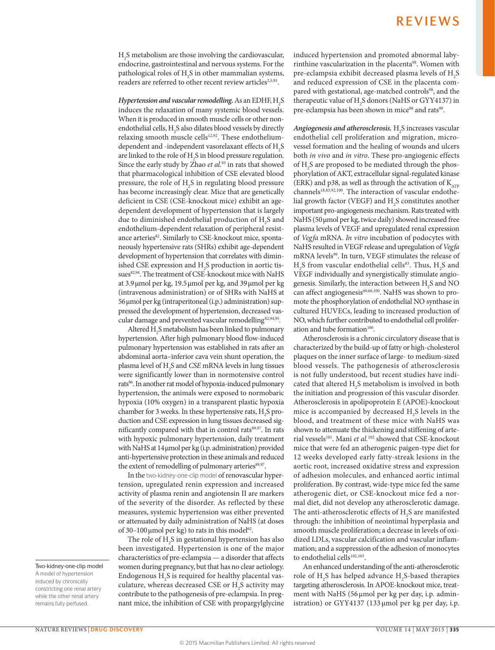$H<sub>2</sub>S$  metabolism are those involving the cardiovascular, endocrine, gastrointestinal and nervous systems. For the pathological roles of  $H_2S$  in other mammalian systems, readers are referred to other recent review articles<sup>2,5,91</sup>.

*Hypertension and vascular remodelling.*As an EDHF, H2 S induces the relaxation of many systemic blood vessels. When it is produced in smooth muscle cells or other nonendothelial cells,  $H_2S$  also dilates blood vessels by directly relaxing smooth muscle cells<sup>12,92</sup>. These endotheliumdependent and -independent vasorelaxant effects of  $H_2S$ are linked to the role of  $H_2S$  in blood pressure regulation. Since the early study by Zhao *et al.*93 in rats that showed that pharmacological inhibition of CSE elevated blood pressure, the role of  $H_2S$  in regulating blood pressure has become increasingly clear. Mice that are genetically deficient in CSE (CSE-knockout mice) exhibit an agedependent development of hypertension that is largely due to diminished endothelial production of  $H_2S$  and endothelium-dependent relaxation of peripheral resistance arteries<sup>82</sup>. Similarly to CSE-knockout mice, spontaneously hypertensive rats (SHRs) exhibit age-dependent development of hypertension that correlates with diminished CSE expression and  $H_2$ S production in aortic tissues<sup>82,94</sup>. The treatment of CSE-knockout mice with NaHS at 3.9μmol per kg, 19.5μmol per kg, and 39μmol per kg (intravenous administration) or of SHRs with NaHS at 56μmol per kg (intraperitoneal (i.p.) administration) suppressed the development of hypertension, decreased vascular damage and prevented vascular remodelling<sup>82,94,95</sup>.

Altered  $H_2S$  metabolism has been linked to pulmonary hypertension. After high pulmonary blood flow-induced pulmonary hypertension was established in rats after an abdominal aorta–inferior cava vein shunt operation, the plasma level of H2 S and *CSE* mRNA levels in lung tissues were significantly lower than in normotensive control rats<sup>96</sup>. In another rat model of hypoxia-induced pulmonary hypertension, the animals were exposed to normobaric hypoxia (10% oxygen) in a transparent plastic hypoxia chamber for 3 weeks. In these hypertensive rats,  $H_2S$  production and CSE expression in lung tissues decreased significantly compared with that in control rats<sup>89,97</sup>. In rats with hypoxic pulmonary hypertension, daily treatment with NaHS at 14μmol per kg (i.p. administration) provided anti-hypertensive protection in these animals and reduced the extent of remodelling of pulmonary arteries89,97.

In the two-kidney-one-clip model of renovascular hypertension, upregulated renin expression and increased activity of plasma renin and angiotensin II are markers of the severity of the disorder. As reflected by these measures, systemic hypertension was either prevented or attenuated by daily administration of NaHS (at doses of 30–100 µmol per kg) to rats in this model<sup>62</sup>.

The role of  $\rm H_2S$  in gestational hypertension has also been investigated. Hypertension is one of the major characteristics of pre-eclampsia — a disorder that affects women during pregnancy, but that has no clear aetiology. Endogenous  $H_2S$  is required for healthy placental vasculature, whereas decreased CSE or  $H_2S$  activity may contribute to the pathogenesis of pre-eclampsia. In pregnant mice, the inhibition of CSE with propargylglycine induced hypertension and promoted abnormal labyrinthine vascularization in the placenta<sup>98</sup>. Women with pre-eclampsia exhibit decreased plasma levels of  $H_2S$ and reduced expression of CSE in the placenta compared with gestational, age-matched controls<sup>98</sup>, and the therapeutic value of  $H_2S$  donors (NaHS or GYY4137) in pre-eclampsia has been shown in mice<sup>98</sup> and rats<sup>99</sup>.

Angiogenesis and atherosclerosis. H<sub>2</sub>S increases vascular endothelial cell proliferation and migration, microvessel formation and the healing of wounds and ulcers both *in vivo* and *in vitro*. These pro-angiogenic effects of  $H_2$ S are proposed to be mediated through the phosphorylation of AKT, extracellular signal-regulated kinase (ERK) and p38, as well as through the activation of  $K_{ATP}$ channels<sup>18,83,92,100</sup>. The interaction of vascular endothelial growth factor (VEGF) and  $H_2S$  constitutes another important pro-angiogenesis mechanism. Rats treated with NaHS (50μmol per kg, twice daily) showed increased free plasma levels of VEGF and upregulated renal expression of *Vegfa* mRNA. *In vitro* incubation of podocytes with NaHS resulted in VEGF release and upregulation of *Vegfa* mRNA levels<sup>99</sup>. In turn, VEGF stimulates the release of  $H<sub>2</sub>S$  from vascular endothelial cells<sup>83</sup>. Thus,  $H<sub>2</sub>S$  and VEGF individually and synergistically stimulate angiogenesis. Similarly, the interaction between  $H_2S$  and NO can affect angiogenesis<sup>60,66,100</sup>. NaHS was shown to promote the phosphorylation of endothelial NO synthase in cultured HUVECs, leading to increased production of NO, which further contributed to endothelial cell proliferation and tube formation<sup>100</sup>.

Atherosclerosis is a chronic circulatory disease that is characterized by the build-up of fatty or high-cholesterol plaques on the inner surface of large- to medium-sized blood vessels. The pathogenesis of atherosclerosis is not fully understood, but recent studies have indicated that altered  $H_2S$  metabolism is involved in both the initiation and progression of this vascular disorder. Atherosclerosis in apolipoprotein E (APOE)-knockout mice is accompanied by decreased  $H_2S$  levels in the blood, and treatment of these mice with NaHS was shown to attenuate the thickening and stiffening of arterial vessels<sup>101</sup>. Mani et al.<sup>102</sup> showed that CSE-knockout mice that were fed an atherogenic paigen-type diet for 12 weeks developed early fatty-streak lesions in the aortic root, increased oxidative stress and expression of adhesion molecules, and enhanced aortic intimal proliferation. By contrast, wide-type mice fed the same atherogenic diet, or CSE-knockout mice fed a normal diet, did not develop any atherosclerotic damage. The anti-atherosclerotic effects of  $\rm H_2S$  are manifested through: the inhibition of neointimal hyperplasia and smooth muscle proliferation; a decrease in levels of oxidized LDLs, vascular calcification and vascular inflammation; and a suppression of the adhesion of monocytes to endothelial cells<sup>102,103</sup>.

An enhanced understanding of the anti-atherosclerotic role of  $H_2S$  has helped advance  $H_2S$ -based therapies targeting atherosclerosis. In APOE-knockout mice, treatment with NaHS (56 μmol per kg per day, i.p. administration) or GYY4137 (133 μmol per kg per day, i.p.

Two-kidney-one-clip model A model of hypertension induced by chronically constricting one renal artery while the other renal artery remains fully perfused.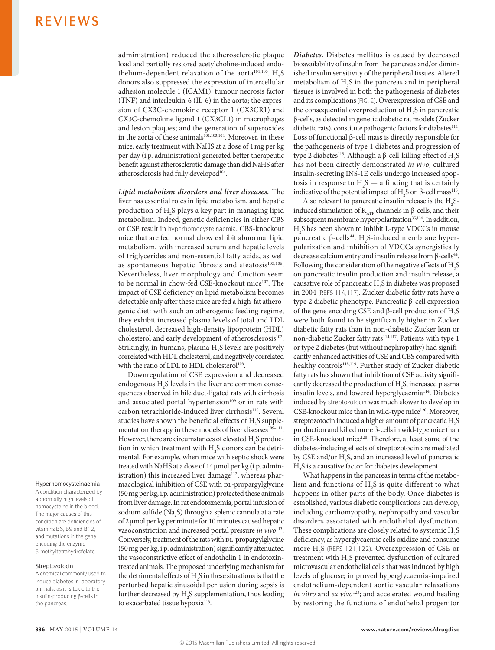administration) reduced the atherosclerotic plaque load and partially restored acetylcholine-induced endothelium-dependent relaxation of the aorta<sup>101,103</sup>.  $H_2S$ donors also suppressed the expression of intercellular adhesion molecule 1 (ICAM1), tumour necrosis factor (TNF) and interleukin-6 (IL-6) in the aorta; the expression of CX3C-chemokine receptor 1 (CX3CR1) and CX3C-chemokine ligand 1 (CX3CL1) in macrophages and lesion plaques; and the generation of superoxides in the aorta of these animals<sup>101,103,104</sup>. Moreover, in these mice, early treatment with NaHS at a dose of 1mg per kg per day (i.p. administration) generated better therapeutic benefit against atherosclerotic damage than did NaHS after atherosclerosis had fully developed<sup>104</sup>.

*Lipid metabolism disorders and liver diseases.* The liver has essential roles in lipid metabolism, and hepatic production of  $H_2S$  plays a key part in managing lipid metabolism. Indeed, genetic deficiencies in either CBS or CSE result in hyperhomocysteinaemia. CBS-knockout mice that are fed normal chow exhibit abnormal lipid metabolism, with increased serum and hepatic levels of triglycerides and non-essential fatty acids, as well as spontaneous hepatic fibrosis and steatosis<sup>105,106</sup>. Nevertheless, liver morphology and function seem to be normal in chow-fed CSE-knockout mice<sup>107</sup>. The impact of CSE deficiency on lipid metabolism becomes detectable only after these mice are fed a high-fat atherogenic diet: with such an atherogenic feeding regime, they exhibit increased plasma levels of total and LDL cholesterol, decreased high-density lipoprotein (HDL) cholesterol and early development of atherosclerosis<sup>102</sup>. Strikingly, in humans, plasma  $H_2S$  levels are positively correlated with HDL cholesterol, and negatively correlated with the ratio of LDL to HDL cholesterol<sup>108</sup>.

Downregulation of CSE expression and decreased endogenous  $H_2S$  levels in the liver are common consequences observed in bile duct-ligated rats with cirrhosis and associated portal hypertension<sup>109</sup> or in rats with carbon tetrachloride-induced liver cirrhosis<sup>110</sup>. Several studies have shown the beneficial effects of  $H_2S$  supplementation therapy in these models of liver diseases<sup>109-111</sup>. However, there are circumstances of elevated  $H_2S$  production in which treatment with  $H_2S$  donors can be detrimental. For example, when mice with septic shock were treated with NaHS at a dose of 14μmol per kg (i.p. administration) this increased liver damage<sup>112</sup>, whereas pharmacological inhibition of CSE with DL-propargylglycine (50mg per kg, i.p. administration) protected these animals from liver damage. In rat endotoxaemia, portal infusion of sodium sulfide (Na<sub>2</sub>S) through a splenic cannula at a rate of 2μmol per kg per minute for 10 minutes caused hepatic vasoconstriction and increased portal pressure *in vivo*<sup>113</sup>. Conversely, treatment of the rats with DL-propargylglycine (50mg per kg, i.p. administration) significantly attenuated the vasoconstrictive effect of endothelin 1 in endotoxintreated animals. The proposed underlying mechanism for the detrimental effects of  $H_2S$  in these situations is that the perturbed hepatic sinusoidal perfusion during sepsis is further decreased by  $\mathrm{H}_2\mathrm{S}$  supplementation, thus leading to exacerbated tissue hypoxia<sup>113</sup>.

*Diabetes.* Diabetes mellitus is caused by decreased bioavailability of insulin from the pancreas and/or diminished insulin sensitivity of the peripheral tissues. Altered metabolism of  $H_2S$  in the pancreas and in peripheral tissues is involved in both the pathogenesis of diabetes and its complications (FIG. 2). Overexpression of CSE and the consequential overproduction of  $H_2S$  in pancreatic β-cells, as detected in genetic diabetic rat models (Zucker diabetic rats), constitute pathogenic factors for diabetes<sup>114</sup>. Loss of functional β-cell mass is directly responsible for the pathogenesis of type 1 diabetes and progression of type 2 diabetes<sup>115</sup>. Although a β-cell-killing effect of  $H_2S$ has not been directly demonstrated *in vivo*, cultured insulin-secreting INS-1E cells undergo increased apoptosis in response to  $H_2S$  — a finding that is certainly indicative of the potential impact of H<sub>2</sub>S on β-cell mass<sup>116</sup>.

Also relevant to pancreatic insulin release is the  $\rm H_{2}S$ induced stimulation of  $K_{ATP}$  channels in β-cells, and their subsequent membrane hyperpolarization<sup>35,114</sup>. In addition, H2 S has been shown to inhibit L-type VDCCs in mouse pancreatic β-cells<sup>44</sup>. H<sub>2</sub>S-induced membrane hyperpolarization and inhibition of VDCCs synergistically decrease calcium entry and insulin release from β-cells<sup>44</sup>. Following the consideration of the negative effects of  $H_2S$ on pancreatic insulin production and insulin release, a causative role of pancreatic  $H_2S$  in diabetes was proposed in 2004 (REFS 114,117). Zucker diabetic fatty rats have a type 2 diabetic phenotype. Pancreatic β-cell expression of the gene encoding CSE and β-cell production of  $H_2S$ were both found to be significantly higher in Zucker diabetic fatty rats than in non-diabetic Zucker lean or non-diabetic Zucker fatty rats<sup>114,117</sup>. Patients with type 1 or type 2 diabetes (but without nephropathy) had significantly enhanced activities of CSE and CBS compared with healthy controls<sup>118,119</sup>. Further study of Zucker diabetic fatty rats has shown that inhibition of CSE activity significantly decreased the production of  $H_2S$ , increased plasma insulin levels, and lowered hyperglycaemia114. Diabetes induced by streptozotocin was much slower to develop in CSE-knockout mice than in wild-type mice<sup>120</sup>. Moreover, streptozotocin induced a higher amount of pancreatic  $H_2S$ production and killed more β-cells in wild-type mice than in CSE-knockout mice<sup>120</sup>. Therefore, at least some of the diabetes-inducing effects of streptozotocin are mediated by CSE and/or  $H_2S$ , and an increased level of pancreatic  $H<sub>2</sub>S$  is a causative factor for diabetes development.

What happens in the pancreas in terms of the metabolism and functions of  $H_2S$  is quite different to what happens in other parts of the body. Once diabetes is established, various diabetic complications can develop, including cardiomyopathy, nephropathy and vascular disorders associated with endothelial dysfunction. These complications are closely related to systemic  $H_2S$ deficiency, as hyperglycaemic cells oxidize and consume more H<sub>2</sub>S (REFS 121,122). Overexpression of CSE or treatment with  $H_2S$  prevented dysfunction of cultured microvascular endothelial cells that was induced by high levels of glucose; improved hyperglycaemia-impaired endothelium-dependent aortic vascular relaxations *in vitro* and *ex vivo*<sup>123</sup>; and accelerated wound healing by restoring the functions of endothelial progenitor

### Hyperhomocysteinaemia

A condition characterized by abnormally high levels of homocysteine in the blood. The major causes of this condition are deficiencies of vitamins B6, B9 and B12, and mutations in the gene encoding the enzyme 5‑methyltetrahydrofolate.

#### Streptozotocin

A chemical commonly used to induce diabetes in laboratory animals, as it is toxic to the insulin-producing β-cells in the pancreas.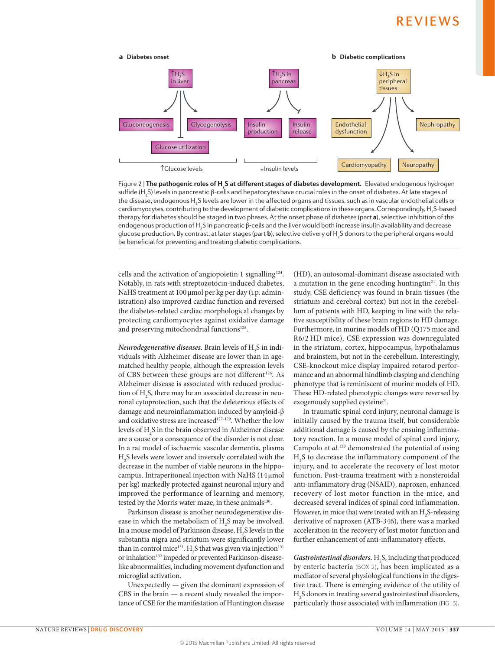

sunderin<sub>2</sub>b) levels in pancreatic p-cells and nepatocytes have crucial roles in the onset or diabetes. At late stages or<br>the disease, endogenous H<sub>2</sub>S levels are lower in the affected organs and tissues, such as in vascul Figure 2 | **The pathogenic roles of H2 S at different stages of diabetes development.** Elevated endogenous hydrogen sulfide (H<sub>2</sub>S) levels in pancreatic β-cells and hepatocytes have crucial roles in the onset of diabetes. At late stages of cardiomyocytes, contributing to the development of diabetic complications in these organs. Correspondingly, H<sub>2</sub>S-based therapy for diabetes should be staged in two phases. At the onset phase of diabetes (part **a**), selective inhibition of the endogenous production of H<sub>2</sub>S in pancreatic β-cells and the liver would both increase insulin availability and decrease glucose production. By contrast, at later stages (part **b**), selective delivery of H<sub>2</sub>S donors to the peripheral organs would be beneficial for preventing and treating diabetic complications.

cells and the activation of angiopoietin 1 signalling<sup>124</sup>. Notably, in rats with streptozotocin-induced diabetes, NaHS treatment at 100μmol per kg per day (i.p. administration) also improved cardiac function and reversed the diabetes-related cardiac morphological changes by protecting cardiomyocytes against oxidative damage and preserving mitochondrial functions<sup>125</sup>.

*Neurodegenerative diseases.* Brain levels of  $\rm{H}_{2}S$  in individuals with Alzheimer disease are lower than in agematched healthy people, although the expression levels of CBS between these groups are not different<sup>126</sup>. As Alzheimer disease is associated with reduced production of  $H_2S$ , there may be an associated decrease in neuronal cytoprotection, such that the deleterious effects of damage and neuroinflammation induced by amyloid-β and oxidative stress are increased<sup>127-129</sup>. Whether the low levels of  $\rm{H}_{2}S$  in the brain observed in Alzheimer disease are a cause or a consequence of the disorder is not clear. In a rat model of ischaemic vascular dementia, plasma  $\rm{H}_{2}\rm{S}$  levels were lower and inversely correlated with the decrease in the number of viable neurons in the hippocampus. Intraperitoneal injection with NaHS (14μmol per kg) markedly protected against neuronal injury and improved the performance of learning and memory, tested by the Morris water maze, in these animals<sup>130</sup>.

Parkinson disease is another neurodegenerative disease in which the metabolism of  $H_2S$  may be involved. In a mouse model of Parkinson disease,  $H_2S$  levels in the substantia nigra and striatum were significantly lower than in control mice<sup>131</sup>.  $H_2S$  that was given via injection<sup>131</sup> or inhalation<sup>132</sup> impeded or prevented Parkinson-diseaselike abnormalities, including movement dysfunction and microglial activation.

Unexpectedly — given the dominant expression of CBS in the brain — a recent study revealed the importance of CSE for the manifestation of Huntington disease (HD), an autosomal-dominant disease associated with a mutation in the gene encoding huntingtin<sup>21</sup>. In this study, CSE deficiency was found in brain tissues (the striatum and cerebral cortex) but not in the cerebellum of patients with HD, keeping in line with the relative susceptibility of these brain regions to HD damage. Furthermore, in murine models of HD (Q175 mice and R6/2 HD mice), CSE expression was downregulated in the striatum, cortex, hippocampus, hypothalamus and brainstem, but not in the cerebellum. Interestingly, CSE-knockout mice display impaired rotarod performance and an abnormal hindlimb clasping and clenching phenotype that is reminiscent of murine models of HD. These HD-related phenotypic changes were reversed by exogenously supplied cysteine<sup>21</sup>.

In traumatic spinal cord injury, neuronal damage is initially caused by the trauma itself, but considerable additional damage is caused by the ensuing inflammatory reaction. In a mouse model of spinal cord injury, Campolo *et al.*133 demonstrated the potential of using  $H<sub>2</sub>S$  to decrease the inflammatory component of the injury, and to accelerate the recovery of lost motor function. Post-trauma treatment with a nonsteroidal anti-inflammatory drug (NSAID), naproxen, enhanced recovery of lost motor function in the mice, and decreased several indices of spinal cord inflammation. However, in mice that were treated with an  $H_2S$ -releasing derivative of naproxen (ATB-346), there was a marked acceleration in the recovery of lost motor function and further enhancement of anti-inflammatory effects.

Gastrointestinal disorders. H<sub>2</sub>S, including that produced by enteric bacteria (BOX 2), has been implicated as a mediator of several physiological functions in the digestive tract. There is emerging evidence of the utility of  $\rm H_2S$  donors in treating several gastrointestinal disorders, particularly those associated with inflammation (FIG. 3).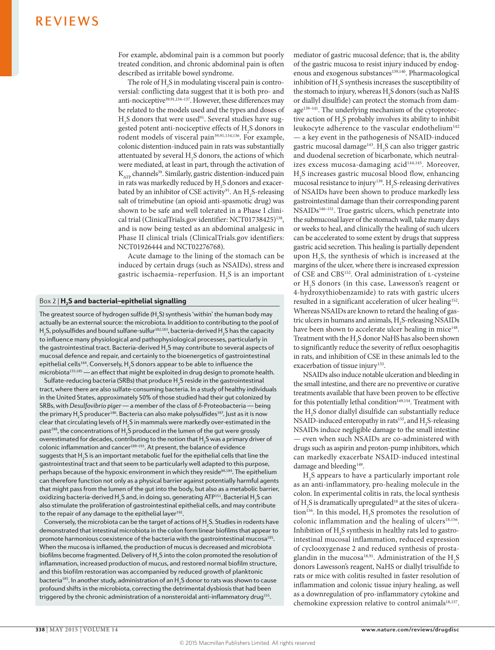For example, abdominal pain is a common but poorly treated condition, and chronic abdominal pain is often described as irritable bowel syndrome.

The role of  $H_2$ S in modulating visceral pain is controversial: conflicting data suggest that it is both pro- and anti-nociceptive<sup>39,91,134–137</sup>. However, these differences may be related to the models used and the types and doses of  $H<sub>2</sub>S$  donors that were used<sup>91</sup>. Several studies have suggested potent anti-nociceptive effects of  $H_2S$  donors in rodent models of visceral pain<sup>39,91,134,136</sup>. For example, colonic distention-induced pain in rats was substantially attentuated by several  $H_2S$  donors, the actions of which were mediated, at least in part, through the activation of  $K_{ATP}$  channels<sup>39</sup>. Similarly, gastric distention-induced pain in rats was markedly reduced by  $\rm H_2S$  donors and exacerbated by an inhibitor of CSE activity<sup>91</sup>. An  $H_2$ S-releasing salt of trimebutine (an opioid anti-spasmotic drug) was shown to be safe and well tolerated in a Phase I clinical trial (ClinicalTrials.gov identifier: NCT01738425)<sup>138</sup>, and is now being tested as an abdominal analgesic in Phase II clinical trials (ClinicalTrials.gov identifiers: NCT01926444 and NCT02276768).

Acute damage to the lining of the stomach can be induced by certain drugs (such as NSAIDs), stress and gastric ischaemia–reperfusion.  $\mathrm{H}_2\mathrm{S}$  is an important

### $Box 2 | H_2S$  and bacterial–epithelial signalling

The greatest source of hydrogen sulfide (H<sub>2</sub>S) synthesis 'within' the human body may actually be an external source: the microbiota. In addition to contributing to the pool of H<sub>2</sub>S, polysulfides and bound sulfane-sulfur $^{182,183}$ , bacteria-derived H<sub>2</sub>S has the capacity to influence many physiological and pathophysiological processes, particularly in the gastrointestinal tract. Bacteria-derived  $\mathsf{H}_\mathsf{2}\mathsf{S}$  may contribute to several aspects of mucosal defence and repair, and certainly to the bioenergetics of gastrointestinal epithelial cells $^{184}$ . Conversely, H $_{\rm 2}$ S donors appear to be able to influence the microbiota<sup>155,185</sup> — an effect that might be exploited in drug design to promote health.

Sulfate-reducing bacteria (SRBs) that produce  $\mathsf{H}_{\mathsf{2}}\mathsf{S}$  reside in the gastrointestinal tract, where there are also sulfate-consuming bacteria. In a study of healthy individuals in the United States, approximately 50% of those studied had their gut colonized by SRBs, with *Desulfovibrio piger* — a member of the class of δ-Proteobacteria — being the primary  ${\sf H_2 S}$  producer $^{186}$ . Bacteria can also make polysulfides $^{187}$ . Just as it is now clear that circulating levels of  $\mathsf{H}_\mathsf{2}\mathsf{S}$  in mammals were markedly over-estimated in the past $^{188}$ , the concentrations of  $\mathsf{H}_\mathsf{2}\mathsf{S}$  produced in the lumen of the gut were grossly overestimated for decades, contributing to the notion that  $\mathsf{H}_{\mathfrak{z}}\mathsf{S}$  was a primary driver of colonic inflammation and cancer<sup>189-191</sup>. At present, the balance of evidence suggests that  $\mathsf{H}_\mathsf{2}\mathsf{S}$  is an important metabolic fuel for the epithelial cells that line the gastrointestinal tract and that seem to be particularly well adapted to this purpose, perhaps because of the hypoxic environment in which they reside<sup>86,184</sup>. The epithelium can therefore function not only as a physical barrier against potentially harmful agents that might pass from the lumen of the gut into the body, but also as a metabolic barrier, oxidizing bacteria-derived H<sub>2</sub>S and, in doing so, generating ATP151. Bacterial H<sub>2</sub>S can also stimulate the proliferation of gastrointestinal epithelial cells, and may contribute to the repair of any damage to the epithelial layer $192$ .

Conversely, the microbiota can be the target of actions of  $\mathsf{H}_{_2} \mathsf{S}.$  Studies in rodents have demonstrated that intestinal microbiota in the colon form linear biofilms that appear to promote harmonious coexistence of the bacteria with the gastrointestinal mucosa<sup>185</sup>. When the mucosa is inflamed, the production of mucus is decreased and microbiota biofilms become fragmented. Delivery of  $\mathsf{H}_{\mathfrak{z}}\mathsf{S}$  into the colon promoted the resolution of inflammation, increased production of mucus, and restored normal biofilm structure, and this biofilm restoration was accompanied by reduced growth of planktonic bacteria $^{185}$ . In another study, administration of an  $\mathsf{H}_{_2}\mathsf{S}$  donor to rats was shown to cause profound shifts in the microbiota, correcting the detrimental dysbiosis that had been triggered by the chronic administration of a nonsteroidal anti-inflammatory drug<sup>155</sup>.

mediator of gastric mucosal defence; that is, the ability of the gastric mucosa to resist injury induced by endogenous and exogenous substances<sup>139,140</sup>. Pharmacological inhibition of  $H_2$ S synthesis increases the susceptibility of the stomach to injury, whereas  $H_2$ S donors (such as NaHS or diallyl disulfide) can protect the stomach from damage<sup>139-141</sup>. The underlying mechanism of the cytoprotective action of  $H_2$ S probably involves its ability to inhibit leukocyte adherence to the vascular endothelium<sup>142</sup> — a key event in the pathogenesis of NSAID-induced gastric mucosal damage<sup>143</sup>. H<sub>2</sub>S can also trigger gastric and duodenal secretion of bicarbonate, which neutralizes excess mucosa-damaging acid<sup>144,145</sup>. Moreover,  $H<sub>2</sub>S$  increases gastric mucosal blood flow, enhancing mucosal resistance to injury<sup>139</sup>.  $H_2S$ -releasing derivatives of NSAIDs have been shown to produce markedly less gastrointestinal damage than their corresponding parent NSAIDs146–151. True gastric ulcers, which penetrate into the submucosal layer of the stomach wall, take many days or weeks to heal, and clinically the healing of such ulcers can be accelerated to some extent by drugs that suppress gastric acid secretion. This healing is partially dependent upon  $H_2$ S, the synthesis of which is increased at the margins of the ulcer, where there is increased expression of CSE and CBS<sup>152</sup>. Oral administration of L-cysteine or H2 S donors (in this case, Lawesson's reagent or 4-hydroxythiobenzamide) to rats with gastric ulcers resulted in a significant acceleration of ulcer healing<sup>152</sup>. Whereas NSAIDs are known to retard the healing of gastric ulcers in humans and animals,  $H_2S$ -releasing NSAIDs have been shown to accelerate ulcer healing in mice<sup>148</sup>. Treatment with the  $H_2S$  donor NaHS has also been shown to significantly reduce the severity of reflux oesophagitis in rats, and inhibition of CSE in these animals led to the exacerbation of tissue injury<sup>153</sup>.

NSAIDs also induce notable ulceration and bleeding in the small intestine, and there are no preventive or curative treatments available that have been proven to be effective for this potentially lethal condition<sup>149,154</sup>. Treatment with the H2 S donor diallyl disulfide can substantially reduce NSAID-induced enteropathy in rats<sup>155</sup>, and  $H_2$ S-releasing NSAIDs induce negligible damage to the small intestine — even when such NSAIDs are co-administered with drugs such as aspirin and proton-pump inhibitors, which can markedly exacerbate NSAID-induced intestinal damage and bleeding<sup>149</sup>.

 $H<sub>2</sub>S$  appears to have a particularly important role as an anti-inflammatory, pro-healing molecule in the colon. In experimental colitis in rats, the local synthesis of  $H_2S$  is dramatically upregulated<sup>18</sup> at the sites of ulceration<sup>156</sup>. In this model,  $H_2S$  promotes the resolution of colonic inflammation and the healing of ulcers<sup>18,156</sup>. Inhibition of  $H_2S$  synthesis in healthy rats led to gastrointestinal mucosal inflammation, reduced expression of cyclooxygenase 2 and reduced synthesis of prostaglandin in the mucosa<sup>18,91</sup>. Administration of the  $H_2S$ donors Lawesson's reagent, NaHS or diallyl trisulfide to rats or mice with colitis resulted in faster resolution of inflammation and colonic tissue injury healing, as well as a downregulation of pro-inflammatory cytokine and chemokine expression relative to control animals<sup>18,157</sup>.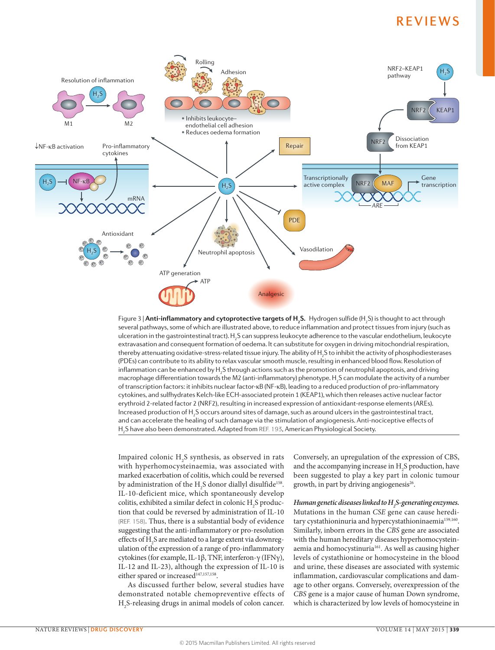

ulceration in the gastrointestinal tract). H<sub>2</sub>S can suppress leukocyte adherence to the vascular endothelium, leukocyte Figure 3 | **Anti-inflammatory and cytoprotective targets of H2 S.** Hydrogen sulfide (H2 S) is thought to act through several pathways, some of which are illustrated above, to reduce inflammation and protect tissues from injury (such as extravasation and consequent formation of oedema. It can substitute for oxygen in driving mitochondrial respiration, thereby attenuating oxidative-stress-related tissue injury. The ability of  ${\sf H_2S}$  to inhibit the activity of phosphodiesterases (PDEs) can contribute to its ability to relax vascular smooth muscle, resulting in enhanced blood flow. Resolution of inflammation can be enhanced by  $\mathsf{H}_2\mathsf{S}$  through actions such as the promotion of neutrophil apoptosis, and driving macrophage differentiation towards the M2 (anti-inflammatory) phenotype. H<sub>2</sub>S can modulate the activity of a number of transcription factors: it inhibits nuclear factor-κB (NF-κB), leading to a reduced production of pro-inflammatory cytokines, and sulfhydrates Kelch-like ECH-associated protein 1 (KEAP1), which then releases active nuclear factor erythroid 2‑related factor 2 (NRF2), resulting in increased expression of antioxidant-response elements (AREs). Increased production of  $\sf H_2 S$  occurs around sites of damage, such as around ulcers in the gastrointestinal tract, and can accelerate the healing of such damage via the stimulation of angiogenesis. Anti-nociceptive effects of  $\mathsf{H}_\mathsf{2}\mathsf{S}$  have also been demonstrated. Adapted from REF. 193, American Physiological Society.

Impaired colonic  $H_2S$  synthesis, as observed in rats with hyperhomocysteinaemia, was associated with marked exacerbation of colitis, which could be reversed by administration of the  $H_2S$  donor diallyl disulfide<sup>158</sup>. IL-10-deficient mice, which spontaneously develop colitis, exhibited a similar defect in colonic  $H_2S$  production that could be reversed by administration of IL-10 (REF. 158). Thus, there is a substantial body of evidence suggesting that the anti-inflammatory or pro-resolution effects of  $\rm{H}_{2}\rm{S}$  are mediated to a large extent via downregulation of the expression of a range of pro-inflammatory cytokines (for example, IL-1β, TNF, interferon-γ (IFNγ), IL-12 and IL-23), although the expression of IL-10 is either spared or increased<sup>147,157,158</sup>.

As discussed further below, several studies have demonstrated notable chemopreventive effects of H2 S-releasing drugs in animal models of colon cancer. Conversely, an upregulation of the expression of CBS, and the accompanying increase in  $H_2S$  production, have been suggested to play a key part in colonic tumour growth, in part by driving angiogenesis $26$ .

*Human genetic diseases linked to H2 S-generating enzymes.* Mutations in the human *CSE* gene can cause hereditary cystathioninuria and hypercystathioninaemia<sup>159,160</sup>. Similarly, inborn errors in the *CBS* gene are associated with the human hereditary diseases hyperhomocysteinaemia and homocystinuria<sup>161</sup>. As well as causing higher levels of cystathionine or homocysteine in the blood and urine, these diseases are associated with systemic inflammation, cardiovascular complications and damage to other organs. Conversely, overexpression of the *CBS* gene is a major cause of human Down syndrome, which is characterized by low levels of homocysteine in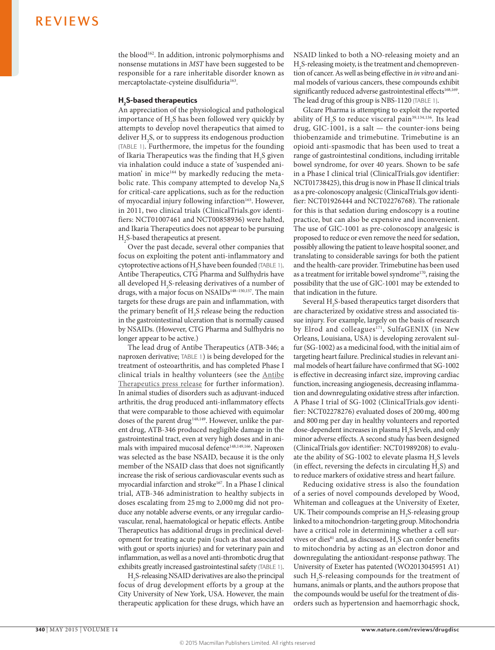the blood<sup>162</sup>. In addition, intronic polymorphisms and nonsense mutations in *MST* have been suggested to be responsible for a rare inheritable disorder known as mercaptolactate-cysteine disulfiduria<sup>163</sup>.

### $\mathsf{H}_\mathsf{2}\mathsf{S}\text{-}\mathsf{based}$  therapeutics

An appreciation of the physiological and pathological importance of  $H_2S$  has been followed very quickly by attempts to develop novel therapeutics that aimed to deliver  $H_2$ S, or to suppress its endogenous production (TABLE 1). Furthermore, the impetus for the founding of Ikaria Therapeutics was the finding that  $H_2S$  given via inhalation could induce a state of 'suspended animation' in mice<sup>164</sup> by markedly reducing the metabolic rate. This company attempted to develop  $\text{Na}_2\text{S}$ for critical-care applications, such as for the reduction of myocardial injury following infarction<sup>165</sup>. However, in 2011, two clinical trials (ClinicalTrials.gov identifiers: NCT01007461 and NCT00858936) were halted, and Ikaria Therapeutics does not appear to be pursuing  $H<sub>2</sub>S$ -based therapeutics at present.

Over the past decade, several other companies that focus on exploiting the potent anti-inflammatory and cytoprotective actions of  $H_2S$  have been founded (TABLE 1). Antibe Therapeutics, CTG Pharma and Sulfhydris have all developed  $H_2S$ -releasing derivatives of a number of drugs, with a major focus on NSAIDs<sup>148-150,157</sup>. The main targets for these drugs are pain and inflammation, with the primary benefit of  $H_2S$  release being the reduction in the gastrointestinal ulceration that is normally caused by NSAIDs. (However, CTG Pharma and Sulfhydris no longer appear to be active.)

The lead drug of Antibe Therapeutics (ATB-346; a naproxen derivative; TABLE 1) is being developed for the treatment of osteoarthritis, and has completed Phase I clinical trials in healthy volunteers (see the [Antibe](http://www.antibethera.com/s/PressReleases.asp?ReportID=677531&_Type=Press-Releases&_Title=ANTIBE-THERAPEUTICS-COMPLETES-SINGLE-ASCENDING-DOSE-PORTION-OF-ATB-346-PHAS)  [Therapeutics press release](http://www.antibethera.com/s/PressReleases.asp?ReportID=677531&_Type=Press-Releases&_Title=ANTIBE-THERAPEUTICS-COMPLETES-SINGLE-ASCENDING-DOSE-PORTION-OF-ATB-346-PHAS) for further information). In animal studies of disorders such as adjuvant-induced arthritis, the drug produced anti-inflammatory effects that were comparable to those achieved with equimolar doses of the parent drug<sup>148,149</sup>. However, unlike the parent drug, ATB-346 produced negligible damage in the gastrointestinal tract, even at very high doses and in animals with impaired mucosal defence<sup>148,149,166</sup>. Naproxen was selected as the base NSAID, because it is the only member of the NSAID class that does not significantly increase the risk of serious cardiovascular events such as myocardial infarction and stroke<sup>167</sup>. In a Phase I clinical trial, ATB-346 administration to healthy subjects in doses escalating from 25mg to 2,000mg did not produce any notable adverse events, or any irregular cardiovascular, renal, haematological or hepatic effects. Antibe Therapeutics has additional drugs in preclinical development for treating acute pain (such as that associated with gout or sports injuries) and for veterinary pain and inflammation, as well as a novel anti-thrombotic drug that exhibits greatly increased gastrointestinal safety (TABLE 1).

H2 S-releasing NSAID derivatives are also the principal focus of drug development efforts by a group at the City University of New York, USA. However, the main therapeutic application for these drugs, which have an NSAID linked to both a NO-releasing moiety and an H2 S-releasing moiety, is the treatment and chemoprevention of cancer. As well as being effective in *in vitro* and animal models of various cancers, these compounds exhibit significantly reduced adverse gastrointestinal effects<sup>168,169</sup>. The lead drug of this group is NBS-1120 (TABLE 1).

GIcare Pharma is attempting to exploit the reported ability of  $H_2S$  to reduce visceral pain<sup>39,134,136</sup>. Its lead drug, GIC-1001, is a salt — the counter-ions being thiobenzamide and trimebutine. Trimebutine is an opioid anti-spasmodic that has been used to treat a range of gastrointestinal conditions, including irritable bowel syndrome, for over 40 years. Shown to be safe in a Phase I clinical trial (ClinicalTrials.gov identifier: NCT01738425), this drug is now in Phase II clinical trials as a pre-colonoscopy analgesic (ClinicalTrials.gov identifier: NCT01926444 and NCT02276768). The rationale for this is that sedation during endoscopy is a routine practice, but can also be expensive and inconvenient. The use of GIC-1001 as pre-colonoscopy analgesic is proposed to reduce or even remove the need for sedation, possibly allowing the patient to leave hospital sooner, and translating to considerable savings for both the patient and the health-care provider. Trimebutine has been used as a treatment for irritable bowel syndrome<sup>170</sup>, raising the possibility that the use of GIC-1001 may be extended to that indication in the future.

Several  $H_2$ S-based therapeutics target disorders that are characterized by oxidative stress and associated tissue injury. For example, largely on the basis of research by Elrod and colleagues<sup>171</sup>, SulfaGENIX (in New Orleans, Louisiana, USA) is developing zerovalent sulfur (SG-1002) as a medicinal food, with the initial aim of targeting heart failure. Preclinical studies in relevant animal models of heart failure have confirmed that SG-1002 is effective in decreasing infarct size, improving cardiac function, increasing angiogenesis, decreasing inflammation and downregulating oxidative stress after infarction. A Phase I trial of SG-1002 (ClinicalTrials.gov identifier: NCT02278276) evaluated doses of 200mg, 400mg and 800mg per day in healthy volunteers and reported dose-dependent increases in plasma  $H_2S$  levels, and only minor adverse effects. A second study has been designed (ClinicalTrials.gov identifier: NCT01989208) to evaluate the ability of SG-1002 to elevate plasma  $H_2S$  levels (in effect, reversing the defects in circulating  $H_2S$ ) and to reduce markers of oxidative stress and heart failure.

Reducing oxidative stress is also the foundation of a series of novel compounds developed by Wood, Whiteman and colleagues at the University of Exeter, UK. Their compounds comprise an  $H_2S$ -releasing group linked to a mitochondrion-targeting group. Mitochondria have a critical role in determining whether a cell survives or dies<sup>81</sup> and, as discussed,  $H_2S$  can confer benefits to mitochondria by acting as an electron donor and downregulating the antioxidant-response pathway. The University of Exeter has patented (WO2013045951 A1) such  $H_2$ S-releasing compounds for the treatment of humans, animals or plants, and the authors propose that the compounds would be useful for the treatment of disorders such as hypertension and haemorrhagic shock,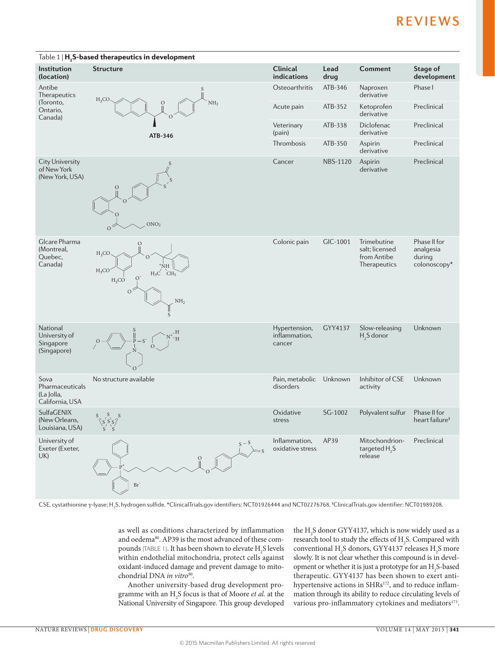

CSE, cystathionine γ-lyase; H<sub>2</sub>S, hydrogen sulfide. \*ClinicalTrials.gov identifiers: NCT01926444 and NCT02276768. ‡ClinicalTrials.gov identifier: NCT01989208.

as well as conditions characterized by inflammation and oedema<sup>80</sup>. AP39 is the most advanced of these compounds (TABLE 1). It has been shown to elevate  $H_2S$  levels within endothelial mitochondria, protect cells against oxidant-induced damage and prevent damage to mitochondrial DNA *in vitro*80.

Another university-based drug development programme with an H2 S focus is that of Moore *et al.* at the National University of Singapore. This group developed

the  $\rm H_2S$  donor GYY4137, which is now widely used as a research tool to study the effects of  $H_2S$ . Compared with conventional  $H_2S$  donors, GYY4137 releases  $H_2S$  more slowly. It is not clear whether this compound is in development or whether it is just a prototype for an  $\mathrm{H}_2$ S-based therapeutic. GYY4137 has been shown to exert antihypertensive actions in SHRs<sup>172</sup>, and to reduce inflammation through its ability to reduce circulating levels of various pro-inflammatory cytokines and mediators<sup>173</sup>.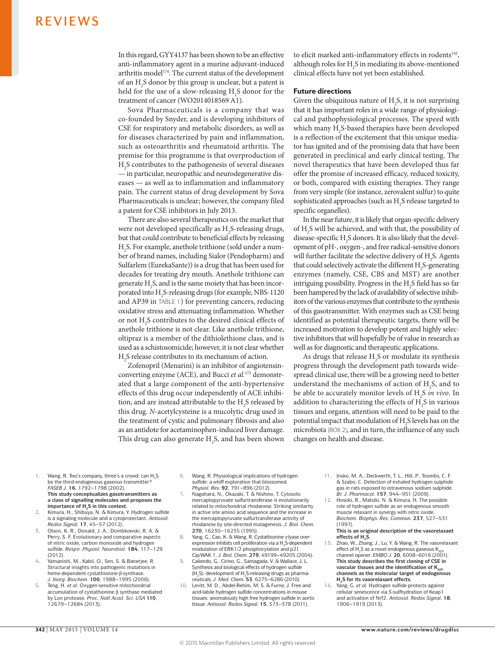In this regard, GYY4137 has been shown to be an effective anti-inflammatory agent in a murine adjuvant-induced arthritis model<sup>174</sup>. The current status of the development of an  $H_2$ S donor by this group is unclear, but a patent is held for the use of a slow-releasing  $H_2S$  donor for the treatment of cancer (WO2014018569 A1).

Sova Pharmaceuticals is a company that was co-founded by Snyder, and is developing inhibitors of CSE for respiratory and metabolic disorders, as well as for diseases characterized by pain and inflammation, such as osteoarthritis and rheumatoid arthritis. The premise for this programme is that overproduction of H2 S contributes to the pathogenesis of several diseases — in particular, neuropathic and neurodegenerative diseases — as well as to inflammation and inflammatory pain. The current status of drug development by Sova Pharmaceuticals is unclear; however, the company filed a patent for CSE inhibitors in July 2013.

There are also several therapeutics on the market that were not developed specifically as  $H_2S$ -releasing drugs, but that could contribute to beneficial effects by releasing H2 S. For example, anethole trithione (sold under a number of brand names, including Sialor (Pendopharm) and Sulfarlem (EurekaSante)) is a drug that has been used for decades for treating dry mouth. Anethole trithione can generate  $H_2S$ , and is the same moiety that has been incorporated into  $H_2S$ -releasing drugs (for example, NBS-1120 and AP39 in TABLE 1) for preventing cancers, reducing oxidative stress and attenuating inflammation. Whether or not  $H_2$ S contributes to the desired clinical effects of anethole trithione is not clear. Like anethole trithione, oltipraz is a member of the dithiolethione class, and is used as a schistosomicide; however, it is not clear whether H2 S release contributes to its mechanism of action.

Zofenopril (Menarini) is an inhibitor of angiotensinconverting enzyme (ACE), and Bucci *et al.*175 demonstrated that a large component of the anti-hypertensive effects of this drug occur independently of ACE inhibition, and are instead attributable to the  $H_2S$  released by this drug. *N*-acetylcysteine is a mucolytic drug used in the treatment of cystic and pulmonary fibrosis and also as an antidote for acetaminophen-induced liver damage. This drug can also generate  $H_2S$ , and has been shown to elicit marked anti-inflammatory effects in rodents<sup>142</sup>, although roles for  $H_2S$  in mediating its above-mentioned clinical effects have not yet been established.

### Future directions

Given the ubiquitous nature of  $H_2S$ , it is not surprising that it has important roles in a wide range of physiological and pathophysiological processes. The speed with which many  $H_2S$ -based therapies have been developed is a reflection of the excitement that this unique mediator has ignited and of the promising data that have been generated in preclinical and early clinical testing. The novel therapeutics that have been developed thus far offer the promise of increased efficacy, reduced toxicity, or both, compared with existing therapies. They range from very simple (for instance, zerovalent sulfur) to quite sophisticated approaches (such as  $H_2S$  release targeted to specific organelles).

In the near future, it is likely that organ-specific delivery of H2 S will be achieved, and with that, the possibility of disease-specific  $H_2S$  donors. It is also likely that the development of pH-, oxygen-, and free radical-sensitive donors will further facilitate the selective delivery of  $H_2S$ . Agents that could selectively activate the different  $H_2S$ -generating enzymes (namely, CSE, CBS and MST) are another intriguing possibility. Progress in the  $H_2S$  field has so far been hampered by the lack of availability of selective inhibitors of the various enzymes that contribute to the synthesis of this gasotransmitter. With enzymes such as CSE being identified as potential therapeutic targets, there will be increased motivation to develop potent and highly selective inhibitors that will hopefully be of value in research as well as for diagnostic and therapeutic applications.

As drugs that release  $H_2S$  or modulate its synthesis progress through the development path towards widespread clinical use, there will be a growing need to better understand the mechanisms of action of  $H_2S$ , and to be able to accurately monitor levels of H2 S *in vivo*. In addition to characterizing the effects of  $H_2S$  in various tissues and organs, attention will need to be paid to the potential impact that modulation of  $H_2$ S levels has on the microbiota (BOX 2), and in turn, the influence of any such changes on health and disease.

- 1. Wang, R. Two's company, three's a crowd: can H<sub>2</sub>S be the third endogenous gaseous transmitter? *FASEB J.* **16**, 1792–1798 (2002). **This study conceptualizes gasotransmitters as a class of signalling molecules and proposes the**  importance of H<sub>2</sub>S in this context.
- 2. Kimura, H., Shibuya, N. & Kimura, Y. Hydrogen sulfide is a signaling molecule and a cytoprotectant. *Antioxid. Redox Signal.* **17**, 45–57 (2012).
- 3. Olson, K. R., Donald, J. A., Dombkowski, R. A. & Perry, S. F. Evolutionary and comparative aspects of nitric oxide, carbon monoxide and hydrogen sulfide. *Respir. Physiol. Neurobiol.* **184**, 117–129 (2012).
- 4. Yamanishi, M., Kabil, O., Sen, S. & Banerjee, R. Structural insights into pathogenic mutations in heme-dependent cystathionine-β-synthase. *J. Inorg. Biochem.* **100**, 1988–1995 (2006).
- 5. Teng, H. *et al.* Oxygen-sensitive mitochondrial accumulation of cystathionine β synthase mediated by Lon protease. *Proc. Natl Acad. Sci. USA* **110**, 12679–12684 (2013).
- 6. Wang, R. Physiological implications of hydrogen sulfide: a whiff exploration that blossomed. *Physiol. Rev.* **92**, 791–896 (2012).
- 7. Nagahara, N., Okazaki, T. & Nishino, T. Cytosolic mercaptopyruvate sulfurtransferase is evolutionarily related to mitochondrial rhodanese. Striking similarity in active site amino acid sequence and the increase in the mercaptopyruvate sulfurtransferase activity of rhodanese by site-directed mutagenesis. *J. Biol. Chem.*  **270**, 16230–16235 (1995).
- 8. Yang, G., Cao, K. & Wang, R. Cystathionine γ-lyase overexpression inhibits cell proliferation via a H<sub>2</sub>S-dependent modulation of ERK1/2 phosphorylation and p21 Cip/WAK 1. *J. Biol. Chem.* **279**, 49199–49205 (2004).
- 9. Caliendo, G., Cirino, G., Santagada, V. & Wallace, J. L. Synthesis and biological effects of hydrogen sulfide  $(H<sub>2</sub>S)$ : development of H<sub>2</sub>S-releasing drugs as pharmaceuticals. *J. Med. Chem.* **53**, 6275–6286 (2010).
- 10. Levitt, M. D., Abdel-Rehim, M. S. & Furne, J. Free and acid-labile hydrogen sulfide concentrations in mouse tissues: anomalously high free hydrogen sulfide in aortic tissue. *Antioxid. Redox Signal.* **15**, 373–378 (2011).
- 11. Insko, M. A., Deckwerth, T. L., Hill, P., Toombs, C. F. & Szabo, C. Detection of exhaled hydrogen sulphide gas in rats exposed to intravenous sodium sulphide. *Br. J. Pharmacol.* **157**, 944–951 (2009).
- 12. Hosoki, R., Matsiki, N. & Kimura, H. The possible role of hydrogen sulfide as an endogenous smooth muscle relaxant in synergy with nitric oxide. *Biochem. Biophys. Res. Commun.* **237**, 527–531 (1997).
	- **This is an original description of the vasorelaxant**  effects of H<sub>2</sub>S.
- 13. Zhao, W., Zhang, J., Lu, Y. & Wang, R. The vasorelaxant effect of  $H_2S$  as a novel endogenous gaseous  $K_2$ channel opener. *EMBO J.* **20**, 6008–6016 (2001). **This study describes the first cloning of CSE in**  vascular tissues and the identification of K<sub>ATP</sub> **channels as the molecular target of endogenous H<sub>2</sub>S** for its vasorelaxant effects.
- 14. Yang, G. *et al.* Hydrogen sulfide protects against cellular senescence via *S*-sulfhydration of Keap1 and activation of Nrf2. *Antioxid. Redox Signal.* **18**, 1906–1919 (2013).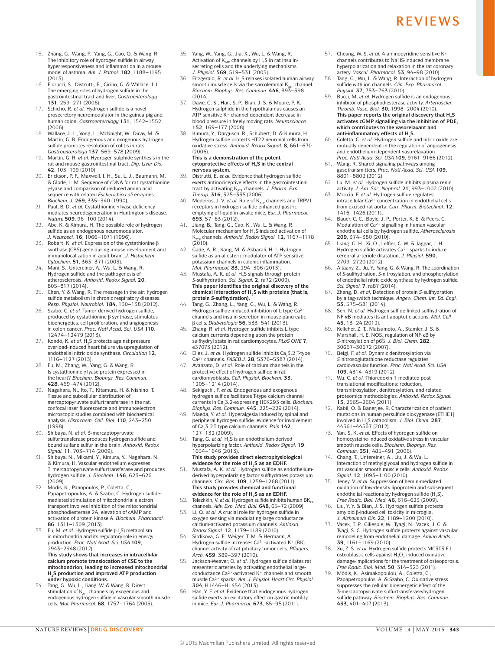- 15. Zhang, G., Wang, P., Yang, G., Cao, Q. & Wang, R. The inhibitory role of hydrogen sulfide in airway hyperresponsiveness and inflammation in a mouse model of asthma. *Am. J. Pathol.* **182**, 1188–1195  $(2013)$ .
- 16. Fiorucci, S., Distrutti, E., Cirino, G. & Wallace, J. L. The emerging roles of hydrogen sulfide in the gastrointestinal tract and liver. *Gastroenterology*  **131**, 259–271 (2006).
- 17. Schicho, R. *et al.* Hydrogen sulfide is a novel prosecretory neuromodulator in the guinea-pig and human colon. *Gastroenterology* **131**, 1542–1552 (2006).
- 18. Wallace, J. L., Vong, L., McKnight, W., Dicay, M. & Martin, G. R. Endogenous and exogenous hydrogen sulfide promotes resolution of colitis in rats. *Gastroenterology* **137**, 569–578 (2009).
- 19. Martin, G. R. *et al.* Hydrogen sulphide synthesis in the rat and mouse gastrointestinal tract. *Dig. Liver Dis.*  **42**, 103–109 (2010).
- 20. Erickson, P. F., Maxwell, I. H., Su, L. J., Baumann, M. & Glode, L. M. Sequence of cDNA for rat cystathionine γ-lyase and comparison of deduced amino acid sequence with related *Escherichia coli* enzymes. *Biochem. J.* **269**, 335–340 (1990).
- 21. Paul, B. D. *et al.* Cystathionine γ-lyase deficiency mediates neurodegeneration in Huntington's disease. *Nature* **509**, 96–100 (2014).
- 22. Abe, K. & Kimura, H. The possible role of hydrogen sulfide as an endogenous neuromodulator. *J. Neurosci.* **16**, 1066–1071 (1996).
- 23. Robert, K. *et al.* Expression of the cystathionine β synthase (CBS) gene during mouse development and immunolocalization in adult brain. *J. Histochem. Cytochem.* **51**, 363–371 (2003).
- 24. Mani, S., Untereiner, A., Wu, L. & Wang, R. Hydrogen sulfide and the pathogenesis of atherosclerosis. *Antioxid. Redox Signal.* **20**, 805–817 (2014).
- 25. Chen, Y. & Wang, R. The message in the air: hydrogen sulfide metabolism in chronic respiratory diseases *Resp. Physiol. Neurobiol.* **184**, 130–138 (2012).
- 26. Szabo, C. *et al.* Tumor-derived hydrogen sulfide, produced by cystathionine-β synthase, stimulates bioenergetics, cell proliferation, and angiogenesis in colon cancer. *Proc. Natl Acad. Sci. USA* **110**, 12474–12479 (2013).
- 27. Kondo, K. *et al.* H<sub>2</sub>S protects against pressure overload-induced heart failure via upregulation of endothelial nitric oxide synthase. *Circulation* **12**, 1116–1127 (2013).
- 28. Fu, M., Zhang, W., Yang, G. & Wang, R. Is cystathionine γ-lyase protein expressed in the heart? *Biochem. Biophys. Res. Commun.*  **428**, 469–474 (2012).
- 29. Nagahara, N., Ito, T., Kitamura, H. & Nishino, T. Tissue and subcellular distribution of mercaptopyruvate sulfurtransferase in the rat: confocal laser fluorescence and immunoelectron microscopic studies combined with biochemical analysis. *Histochem. Cell. Biol.* **110**, 243–250 (1998).
- 30. Shibuya, N. *et al.* 3-mercaptopyruvate sulfurtransferase produces hydrogen sulfide and bound sulfane sulfur in the brain. *Antioxid. Redox Signal.* **11**, 703–714 (2009). 31. Shibuya, N., Mikami, Y., Kimura, Y., Nagahara, N.
- & Kimura, H. Vascular endothelium expresses 3-mercaptopyruvate sulfurtransferase and produces hydrogen sulfide. *J. Biochem.* **146**, 623–626 (2009).
- 32. Módis, K., Panopoulos, P., Coletta, C., Papapetropoulos, A. & Szabo, C. Hydrogen sulfidemediated stimulation of mitochondrial electron transport involves inhibition of the mitochondrial phosphodiesterase 2A, elevation of cAMP and activation of protein kinase A. *Biochem. Pharmacol.*  **86**, 1311–1309 (2013).
- 33. Fu, M. et al. Hydrogen sulfide (H<sub>2</sub>S) metabolism in mitochondria and its regulatory role in energy production. *Proc. Natl Acad. Sci. USA* **109**, 2943–2948 (2012). **This study shows that increases in intracellular calcium promote translocation of CSE to the mitochondrion, leading to increased mitochondrial H<sub>2</sub>S production and improved ATP production**
- **under hypoxic conditions.** 34. Tang, G., Wu, L., Liang, W. & Wang, R. Direct stimulation of  $K_{\text{ATP}}$  channels by exogenous and endogenous hydrogen sulfide in vascular smooth muscle cells. *Mol. Pharmacol.* **68**, 1757–1764 (2005).
- 35. Yang, W., Yang, G., Jia, X., Wu, L. & Wang, R. Activation of  $K_{ATP}$  channels by H<sub>2</sub>S in rat insulinsecreting cells and the underlying mechanisms. *J. Physiol.* **569**, 519–531 (2005).
- 36. Fitzgerald, R. *et al.* H2S relaxes isolated human airway smooth muscle cells via the sarcolemmal  $K_{\text{at}}$  channel *Biochem. Biophys. Res. Commun.* **446**, 393–398  $(2014)$
- 37. Dawe, G. S., Han, S. P., Bian, J. S. & Moore, P. K. Hydrogen sulphide in the hypothalamus causes an ATP-sensitive K+ channel-dependent decrease in blood pressure in freely moving rats. *Neuroscience*  **152**, 169–177 (2008).
- 38. Kimura, Y., Dargusch, R., Schubert, D. & Kimura, H. Hydrogen sulfide protects HT22 neuronal cells from oxidative stress. *Antioxid. Redox Signal.* **8**, 661–670 (2006).

#### **This is a demonstration of the potent**  cytoprotective effects of H<sub>2</sub>S in the central **nervous system.**

- 39. Distrutti, E. *et al.* Evidence that hydrogen sulfide exerts antinociceptive effects in the gastrointestinal tract by activating K<sub>ATP</sub> channels. *J. Pharm. Exp.*<br>*Therap.* **316**, 325–335 (2006).
- 40. Medeiros, J. V. *et al.* Role of K<sub>ATP</sub> channels and TRPV1 receptors in hydrogen sulfide-enhanced gastric emptying of liquid in awake mice. *Eur. J. Pharmacol.*  **693**, 57–63 (2012).
- 41. Jiang, B., Tang, G., Cao, K., Wu, L. & Wang, R. Molecular mechanism for  $H$ <sub>2</sub>S-induced activation of K<sub>ATP</sub> channels. *Antioxid. Redox Signal.* **12**, 1167–1178<br>(2010).
- 42. Gade, A. R., Kang, M. & Akbarali, H. I. Hydrogen sulfide as an allosteric modulator of ATP-sensitive potassium channels in colonic inflammation. *Mol. Pharmacol.* **83**, 294–306 (2013).
- 43. Mustafa, A. K. *et al.* H2S signals through protein *S*-sulfhydration. *Sci. Signal.* **2**, ra72 (2009). **This paper identifies the original discovery of the**  chemical interaction of H<sub>2</sub>S with proteins (that is, **protein** *S***-sulfhydration).**
- 44. Tang, G., Zhang, L., Yang, G., Wu, L. & Wang, R. Hydrogen sulfide-induced inhibition of L-type Ca<sup>2+</sup> channels and insulin secretion in mouse pancreatic β cells. *Diabetologia* **56**, 533–541 (2013).
- 45. Zhang, R. *et al.* Hydrogen sulfide inhibits L-type calcium currents depending upon the protein sulfhydryl state in rat cardiomyocytes. *PLoS ONE* **7**, e37073 (2012).
- 46. Elies, J. *et al.* Hydrogen sulfide inhibits Ca<sub>v</sub>3.2 T-type Ca2+ channels. *FASEB J.* **28**, 5376–5387 (2014). 47. Avanzato, D. *et al.* Role of calcium channels in the
- protective effect of hydrogen sulfide in rat cardiomyoblasts. *Cell. Physiol. Biochem.* **33**, 1205–1214 (2014).
- 48. Sekiguchi, F. *et al.* Endogenous and exogenous hydrogen sulfide facilitates T-type calcium channel currents in Ca<sub>v</sub>3.2-expressing HEK293 cells. *Biochem.*
- *Biophys. Res. Commun.* 445, 225–229 (2014).<br>49. Maeda, Y. *et al.* Hyperalgesia induced by spinal and peripheral hydrogen sulfide: evidence for involvement of Cav 3.2T type calcium channels. *Pain* **142**, 127–132 (2009).
- 50. Tang, G. *et al.* H<sub>2</sub>S is an endothelium-derived hyperpolarizing factor. *Antioxid. Redox Signal.* **19**, 1634–1646 (2013). **This study provides direct electrophysiological**
- evidence for the role of H<sub>2</sub>S as an EDHF. 51. Mustafa, A. K. *et al.* Hydrogen sulfide as endotheliumderived hyperpolarizing factor sulfhydrates potassium channels. *Circ. Res.* **109**, 1259–1268 (2011). **This study provides chemical and functional**  evidence for the role of H<sub>2</sub>S as an EDHF.
- 52. Telezhkin, V. *et al.* Hydrogen sulfide inhibits human  $BK_{C}$ channels. *Adv. Exp. Med. Biol.* **648**, 65–72 (2009).
- 53. Li, Q. *et al.* A crucial role for hydrogen sulfide in oxygen sensing via modulating large conductance calcium-activated potassium channels. *Antioxid. Redox Signal.* **12**, 1179–1189 (2010).
- 54. Sitdikova, G. F., Weiger, T. M. & Hermann, A. Hydrogen sulfide increases Ca<sup>2+</sup>-activated K<sup>+</sup> (BK) channel activity of rat pituitary tumor cells. *Pflugers. Arch.* **459**, 389–397 (2010).
- 55. Jackson-Weaver, O. *et al.* Hydrogen sulfide dilates rat mesenteric arteries by activating endothelial largeconductance Ca²+-activated K+ channels and smooth muscle Ca²+ sparks. *Am. J. Physiol. Heart Circ. Physiol.*  **304**, H1446–H1454 (2013).
- Han, Y. F. et al. Evidence that endogenous hydrogen sulfide exerts an excitatory effect on gastric motility in mice. *Eur. J. Pharmacol.* **673**, 85–95 (2011).
- 57. Cheang, W. S. *et al.* 4-aminopyridine-sensitive K+ channels contributes to NaHS-induced membrane hyperpolarization and relaxation in the rat coronary artery. *Vascul. Pharmacol.* **53**, 94–98 (2010).
- 58. Tang, G., Wu, L. & Wang, R. Interaction of hydrogen sulfide with ion channels. *Clin. Exp. Pharmacol. Physiol.* **37**, 753–763 (2010).
- 59. Bucci, M. *et al.* Hydrogen sulfide is an endogenous inhibitor of phosphodiesterase activity. *Arterioscler. Thromb. Vasc. Biol.* **30**, 1998–2004 (2010). This paper reports the original discovery that H<sub>2</sub>S **activates cGMP signalling via the inhibition of PDE, which contributes to the vasorelaxant and**  anti-inflammatory effects of H<sub>2</sub>S.
- 60. Coletta, C. *et al.* Hydrogen sulfide and nitric oxide are mutually dependent in the regulation of angiogenesis and endothelium-dependent vasorelaxation. *Proc. Natl Acad. Sci. USA* **109**, 9161–9166 (2012).
- 61. Wang, R. Shared signaling pathways among gasotransmitters. *Proc. Natl Acad. Sci. USA* **109**, 8801–8802 (2012).
- 62. Lu, M. *et al.* Hydrogen sulfide inhibits plasma renin activity. *J. Am. Soc. Nephrol.* **21**, 993–1002 (2010).
- Moccia, F. et al. Hydrogen sulfide regulates intracellular Ca2+ concentration in endothelial cells from excised rat aorta. *Curr. Pharm. Biotechnol.* **12**, 1416–1426 (2011).
- 64. Bauer, C. C., Boyle, J. P., Porter, K. E. & Peers, C.<br>Modulation of Ca<sup>2+</sup> signalling in human vascular endothelial cells by hydrogen sulfide. *Atherosclerosis*  **209**, 374–380 (2010).
- 65. Liang, G. H., Xi, Q., Leffler, C. W. & Jaggar, J. H. Hydrogen sulfide activates Ca<sup>2+</sup> sparks to induce cerebral arteriole dilatation. *J. Physiol.* **590**, 2709–2720 (2012).
- 66. Altaany, Z., Ju, Y., Yang, G. & Wang, R. The coordination of *S*-sulfhydration, *S*-nitrosylation, and phosphorylation of endothelial nitric oxide synthase by hydrogen sulfide. *Sci. Signal.* **7**, ra87 (2014).
- 67. Zhang, D. *et al.* Detection of protein *S*-sulfhydration by a tag-switch technique. *Angew. Chem. Int. Ed. Engl.*  **53**, 575–581 (2014).
- 68. Sen, N. *et al.* Hydrogen sulfide-linked sulfhydration of NF-κB mediates its antiapoptotic actions. *Mol. Cell*  **45**, 13–24 (2012).
- 69. Kelleher, Z. T., Matsumoto, A., Stamler, J. S. & Marshall, H. E. NOS<sub>2</sub> regulation of NF-κB by<br>*S*-nitrosylation of p65. *J. Biol. Chem.* **282**, 30667–30672 (2007).
- 70. Beigi, F. *et al.* Dynamic denitrosylation via *S*-nitrosoglutathione reductase regulates cardiovascular function. *Proc. Natl Acad. Sci. USA*  **109**, 4314–4319 (2012).
- 71. Wu, C. *et al.* Thioredoxin 1-mediated posttranslational modifications: reduction, transnitrosylation, denitrosylation, and related proteomics methodologies. *Antioxid. Redox Signal.*  **15**, 2565–2604 (2011).
- 72. Kabil, O. & Banerjee, R. Characterization of patient mutations in human persulfide dioxygenase (ETHE1) involved in H2S catabolism. *J. Biol. Chem.* **287**, 44561–44567 (2012).
- 73. Yan, S. K. *et al.* Effects of hydrogen sulfide on homocysteine-induced oxidative stress in vascular smooth muscle cells. *Biochem. Biophys. Res. Commun.* **351**, 485–491 (2006).
- Chang, T., Untereiner, A., Liu, J. & Wu, L. Interaction of methylglyoxal and hydrogen sulfide in rat vascular smooth muscle cells. *Antioxid. Redox Signal.* **12**, 1093–1100 (2010).
- 75. Jeney, V. *et al.* Suppression of hemin-mediated oxidation of low-density lipoprotein and subsequent endothelial reactions by hydrogen sulfide  $(H, S)$ . *Free Radic. Biol. Med.* **46**, 616–623 (2009).
- 76. Liu, Y. Y. & Bian, J. S. Hydrogen sulfide protects amyloid β-induced cell toxicity in microglia. *J. Alzheimers Dis.* **22**, 1189–1200 (2010).
- 77. Vacek, T. P., Gillespie, W., Tyagi, N., Vacek, J. C. & Tyagi, S. C. Hydrogen sulfide protects against vascular remodeling from endothelial damage. *Amino Acids*  **39**, 1161–1169 (2010).
- 78. Xu, Z. S. *et al.* Hydrogen sulfide protects MC3T3 E1 osteoblastic cells against H2O2-induced oxidative damage-implications for the treatment of osteoporosis. *Free Radic. Biol. Med.* **50**, 314–323 (2011).
- 79. Módis, K., Asimakopoulou, A., Coletta, C., Papapetropoulos, A. & Szabo, C. Oxidative stress suppresses the cellular bioenergetic effect of the 3-mercaptopyruvate sulfurtransferase/hydrogen sulfide pathway. *Biochem. Biophys. Res. Commun.*  **433**, 401–407 (2013).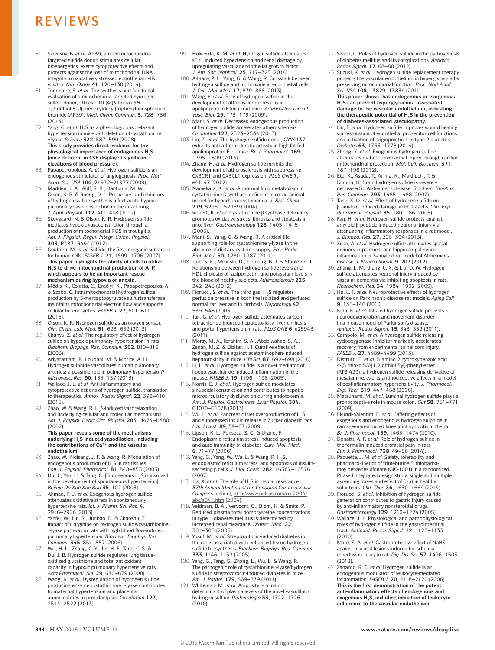- 80. Szczesny, B. *et al.* AP39, a novel mitochondriatargeted sulfide donor, stimulates cellular bioenergetics, exerts cytoprotective effects and protects against the loss of mitochondrial DNA integrity in oxidatively stressed endothelial cells *in vitro*. *Nitr. Oxide* **41**, 120–130 (2014).
- Trionnaire, S. *et al.* The synthesis and functional evaluation of a mitochondria-targeted hydrogen sulfide donor, (10-oxo-10-(4-(3-thioxo-3*H*-1,2-dithiol-5-yl)phenoxy)decyl)triphenylphosphonium bromide (AP39). *Med. Chem. Commun.* **5**, 728–736 (2014).
- 82. Yang, G. *et al.* H<sub>2</sub>S as a physiologic vasorelaxant: hypertension in mice with deletion of cystathionine γ-lyase. *Science* **322**, 587–590 (2008). **This study provides direct evidence for the physiological importance of endogenous H2S (mice deficient in CSE displayed significant elevations of blood pressure).**
- 83. Papapetropolous, A. *et al.* Hydrogen sulfide is an endogenous stimulator of angiogenesis. *Proc. Natl Acad. Sci. USA* **106**, 21972–21977 (2009).
- Madden, J. A., Ahlf, S. B., Dantuma, M. W. Olson, K. R. & Roerig, D. L. Precursors and inhibitors of hydrogen sulfide synthesis affect acute hypoxic pulmonary vasoconstriction in the intact lung. *J. Appl. Physiol.* **112**, 411–418 (2012).
- 85. Skovgaard, N. & Olson, K. R. Hydrogen sulfide mediates hypoxic vasoconstriction through a production of mitochondrial ROS in trout gills. *Am. J. Physiol. Regul. Integr. Comp. Physiol.*  **303**, R487–R494 (2012).
- 86. Goubern, M. *et al.* Sulfide, the first inorganic substrate for human cells. *FASEB J.* **21**, 1699–1706 (2007). **This paper highlights the ability of cells to utilize**  H<sub>2</sub>S to drive mitochondrial production of ATP, **which appears to be an important rescue**
- **mechanism during hypoxia or anoxia.** 87. Módis, K., Coletta, C., Erdélyi, K., Papapetropoulos, A. & Szabo, C. Intramitochondrial hydrogen sulfide production by 3-mercaptopyruvate sulfurtransferase maintains mitochondrial electron flow and supports cellular bioenergetics. *FASEB J.* **27**, 601–611 (2013).
- 88. Olson, K. R. Hydrogen sulfide as an oxygen sensor. *Clin. Chem. Lab. Med.* **51**, 623–632 (2013).
- 89. Chunyu, Z. *et al.* The regulatory effect of hydrogen sulfide on hypoxic pulmonary hypertension in rats. *Biochem. Biophys. Res. Commun.* **302**, 810–816 (2003).
- 90. Ariyaratnam, P., Loubani, M. & Morice, A. H. Hydrogen sulphide vasodilates human pulmonary arteries: a possible role in pulmonary hypertension? *Microvasc. Res.* **90**, 135–137 (2013).
- 91. Wallace, J. L. *et al.* Anti-inflammatory and cytoprotective actions of hydrogen sulfide: translation to therapeutics. *Antiox. Redox Signal.* **22**, 398–410  $(2015)$
- 92. Zhao, W. & Wang, R. H<sub>2</sub>S-induced vasorelaxation and underlying cellular and molecular mechanisms. *Am. J. Physiol. Heart Circ. Physiol.* **283**, H474–H480 (2002). **This paper reveals some of the mechanisms**

### underlying H<sub>2</sub>S-induced vasodilation, including the contributions of Ca<sup>2+</sup> and the vascular **endothelium.**

- 93. Zhao, W., Ndisang, J. F. & Wang, R. Modulation of endogenous production of H<sub>2</sub>S in rat tissues *Can. J. Physiol. Pharmacol.* **81**, 848–853 (2003).
- 94. Du, J., Yan, H. & Tang, C. [Endogenous H<sub>2</sub>S is involved in the development of spontaneous hypertension]. *Beijing Da Xue Xue Bao* **35**, 102 (2003).
- 95. Ahmad, F. U. *et al.* Exogenous hydrogen sulfide attenuates oxidative stress in spontaneously hypertensive rats. *Int. J. Pharm. Sci. Res.* **4**, 2916–2926 (2013).
- 96. Yanfei, W., Lin, S., Junbao, D. & Chaoshu, T. Impact of l-arginine on hydrogen sulfide/cystathionineγ-lyase pathway in rats with high blood flow-induced pulmonary hypertension. *Biochem. Biophys. Res. Commun.* **345**, 851–857 (2006).
- 97. Wei, H. L., Zhang, C. Y., Jin, H. F., Tang, C. S. & Du, J. B. Hydrogen sulfide regulates lung tissueoxidized glutathione and total antioxidant capacity in hypoxic pulmonary hypertensive rats. *Acta Pharmacol. Sin.* **29**, 670–679 (2008).
- 98. Wang, K. *et al.* Dysregulation of hydrogen sulfide producing enzyme cystathionine γ-lyase contributes to maternal hypertension and placental abnormalities in preeclampsia. *Circulation* **127**, 2514–2522 (2013).
- 99. Holwerda, K. M. *et al.* Hydrogen sulfide attenuates sFlt1 induced hypertension and renal damage by upregulating vascular endothelial growth factor. *J. Am. Soc. Nephrol.* **25**, 717–725 (2014).
- 100. Altaany, Z.1., Yang, G. & Wang, R. Crosstalk between hydrogen sulfide and nitric oxide in endothelial cells. *J. Cell. Mol. Med.* **17**, 879–888 (2013).
- 101. Wang, Y. *et al.* Role of hydrogen sulfide in the development of atherosclerotic lesions in apolipoprotein E knockout mice. *Arterioscler. Thromb. Vasc. Biol.* **29**, 173–179 (2009).
- 102. Mani, S. *et al.* Decreased endogenous production of hydrogen sulfide accelerates atherosclerosis. *Circulation* **127**, 2523–2534 (2013).
- 103. Liu, Z. *et al.* The hydrogen sulfide donor, GYY4137, exhibits anti-atherosclerotic activity in high fat fed apolipoprotein E−/− mice. *Br. J. Pharmacol.* **169**, 1795–1809 (2013).
- 104. Zhang, H. *et al.* Hydrogen sulfide inhibits the development of atherosclerosis with suppressing CX3CR1 and CX3CL1 expression. *PLoS ONE* **7**, e41147 (2012).
- 105. Namekata, K. *et al.* Abnormal lipid metabolism in cystathionine β-synthase-deficient mice, an animal model for hyperhomocysteinemia. *J. Biol. Chem.*  **279**, 52961–52969 (2004).
- 106. Robert, K. *et al.* Cystathionine β synthase deficiency promotes oxidative stress, fibrosis, and steatosis in mice liver. *Gastroenterology* **128**, 1405–1415 (2005).
- 107. Mani, S., Yang, G. & Wang, R. A critical lifesupporting role for cystathionine γ-lyase in the absence of dietary cysteine supply. *Free Radic. Biol. Med.* **50**, 1280–1287 (2011).
- 108. Jain, S. K., Micinski, D., Lieblong, B. J. & Stapleton, T. Relationship between hydrogen sulfide levels and HDL-cholesterol, adiponectin, and potassium levels in the blood of healthy subjects. *Atherosclerosis* **225**,
- 242–245 (2012).<br>109. Fiorucci, S. *et al.* The third gas:  $H_2S$  regulates perfusion pressure in both the isolated and perfused normal rat liver and in cirrhosis. *Hepatology* **42**, 539–548 (2005).
- 110. Tan, G. *et al.* Hydrogen sulfide attenuates carbon tetrachloride-induced hepatotoxicity, liver cirrhosis and portal hypertension in rats. *PLoS ONE* **6**, e25943 (2011).
- 111. Morsy, M. A., Ibrahim, S. A., Abdelwahab, S. A., Zedan, M. Z. & Elbitar, H. I. Curative effects of hydrogen sulfide against acetaminophen-induced hepatotoxicity in mice. *Life Sci.* **87**, 692–698 (2010).
- 112. Li, L. *et al.* Hydrogen sulfide is a novel mediator of lipopolysaccharide-induced inflammation in the mouse. *FASEB J.* **19**, 1196–1198 (2005).
- 113. Norris, E. J. *et al.* Hydrogen sulfide modulates sinusoidal constriction and contributes to hepatic microcirculatory dysfunction during endotoxemia. *Am. J. Physiol. Gastrointest. Liver Physiol.* **304***,*  G1070–G1078 (2013).
- 114. Wu, L. et al. Pancreatic islet overproduction of H<sub>2</sub>S and suppressed insulin release in Zucker diabetic rats. *Lab. Invest.* **89**, 59–67 (2009).
- 115. Lipson, K. L., Fonseca, S. G. & Urano, F. Endoplasmic reticulum stress-induced apoptosis and auto-immunity in diabetes. *Curr. Mol. Med.*  **6**, 71–77 (2006).
- 116. Yang, G., Yang, W., Wu, L. & Wang, R. H<sub>2</sub>S, endoplasmic reticulum stress, and apoptosis of insulinsecreting β cells. *J. Biol. Chem.* **282**, 16567–16576 (2007).
- 117. Jia, X. *et al.* The role of H2S in insulin resistance. *57th Annual Meeting of the Canadian Cardovascular Congress* [online], [http://www.pulsus.com/ccc2004/](http://www.pulsus.com/ccc2004/abs/a041.htm) [abs/a041.htm](http://www.pulsus.com/ccc2004/abs/a041.htm) (2004).
- 118. Veldman, B. A., Vervoort, G., Blom, H. & Smits, P. Reduced plasma total homocysteine concentrations in type 1 diabetes mellitus is determined by increased renal clearance. *Diabet. Med.* **22**, 301–305 (2005).
- 119. Yusuf, M. *et al.* Streptozotocin-induced diabetes in the rat is associated with enhanced tissue hydrogen sulfide biosynthesis. *Biochem. Biophys. Res. Commun.*  **333**, 1146–1152 (2005).
- 120. Yang, G., Tang, G., Zhang, L., Wu, L. & Wang, R. The pathogenic role of cystathionine γ-lyase/hydrogen sulfide in streptozotocin-induced diabetes in mice. *Am. J. Pathol.* **179**, 869–879 (2011).
- 121. Whiteman, M. *et al.* Adiposity is a major determinant of plasma levels of the novel vasodilator hydrogen sulfide. *Diabetologia* **53**, 1722–1726 (2010).
- 122. Szabo, C. Roles of hydrogen sulfide in the pathogenesis of diabetes mellitus and its complications. *Antioxid.*
- *Redox Signal.* **17**, 68–80 (2012). 123. Suzuki, K. *et al.* Hydrogen sulfide replacement therapy protects the vascular endothelium in hyperglycemia by preserving mitochondrial function. *Proc. Natl Acad. Sci. USA* **108**, 13829–13834 (2011). **This paper shows that endogenous or exogenous H2S can prevent hyperglycaemia-associated damage to the vascular endothelium, indicating the therapeutic potential of H2S in the prevention of diabetes-associated vasculopathy.**
- 124. Liu, F. *et al.* Hydrogen sulfide improves wound healing via restoration of endothelial progenitor cell functions and activation of angiopoietin 1 in type 2 diabetes. *Diabetes* **63**, 1763–1778 (2014).
- 125. Zhong, X. *et al.* Exogenous hydrogen sulfide attenuates diabetic myocardial injury through cardiac mitochondrial protection. *Mol. Cell. Biochem.* **371**, 187–198 (2012).
- 126. Eto, K., Asada, T., Arima, K., Makifuchi, T. & Kimura, H. Brain hydrogen sulfide is severely decreased in Alzheimer's disease. *Biochem. Biophys. Res. Commun.* **293**, 1485–1488 (2002).
- 127. Tang, X. Q. *et al.* Effect of hydrogen sulfide on β-amyloid-induced damage in PC12 cells. *Clin. Exp. Pharmacol. Physiol.* **35**, 180–186 (2008).
- 128. Fan, H. *et al.* Hydrogen sulfide protects against amyloid β-peptide induced neuronal injury via attenuating inflammatory responses in a rat model. *J. Biomed. Res.* **27**, 296–304 (2013).
- 129. Xuan, A. *et al.* Hydrogen sulfide attenuates spatial memory impairment and hippocampal neuroinflammation in β-amyloid rat model of Alzheimer's disease. *J. Neuroinflamm.* **9**, 202 (2012).
- 130. Zhang, L. M., Jiang, C. X. & Liu, D. W. Hydrogen sulfide attenuates neuronal injury induced by vascular dementia via inhibiting apoptosis in rats. *Neurochem. Res.* **34**, 1984–1992 (2009).
- 131. Hu, L. F. *et al.* Neuroprotective effects of hydrogen sulfide on Parkinson's disease rat models. *Aging Cell*  **9**, 135–146 (2010).
- 132. Kida, K. *et al.* Inhaled hydrogen sulfide prevents neurodegeneration and movement disorder in a mouse model of Parkinson's disease *Antioxid. Redox Signal.* **15**, 343–352 (2011).
- 133. Campolo, M. *et al.* A hydrogen sulfide-releasing cyclooxygenase inhibitor markedly accelerates recovery from experimental spinal cord injury. *FASEB J.* **27**, 4489–4499 (2013).
- 134. Distrutti, E. *et al.* 5-amino 2 hydroxybenzoic acid 4-(5 thioxo 5*H*-[1,2]dithiol 3yl)-phenyl ester (ATB-429), a hydrogen sulfide-releasing derivative of mesalamine, exerts antinociceptive effects in a model of postinflammatory hypersensitivity. *J. Pharmacol. Exp. Ther.* **319**, 447–458 (2006).
- 135. Matsunami, M. *et al.* Luminal hydrogen sulfide plays a pronociceptive role in mouse colon. *Gut* **58**, 751–771 (2009).
- 136. Ekundi-Valentim, E. *et al.* Differing effects of exogenous and endogenous hydrogen sulphide in carrageenan-induced knee joint synovitis in the rat. *Br. J. Pharmacol.* **159**, 1463–1474 (2010).
- 137. Donatti, A. F. *et al.* Role of hydrogen sulfide in the formalin-induced orofacial pain in rats. *Eur. J. Pharmacol.* **738**, 49–56 (2014).
- 138. Paquette, J. M. *et al.* Safety, tolerability and pharmacokinetics of trimebutine 3-thiobarbamoylbenzenesulfonate (GIC-1001) in a randomized Phase I integrated design study: single and multiple ascending doses and effect of food in healthy volunteers. *Clin. Ther.* **36**, 1650–1664 (2014).
- 139. Fiorucci, S. *et al.* Inhibition of hydrogen sulfide generation contributes to gastric injury caused by anti-inflammatory nonsteroidal drugs.
- *Gastroenterology* **129**, 1210–1224 (2005). 140. Wallace, J. L. Physiological and pathophysiological roles of hydrogen sulfide in the gastrointestinal tract. *Antioxid. Redox Signal.* **12**, 1125–1133 (2010).
- 141. Mard, S. A. *et al.* Gastroprotective effect of NaHS against mucosal lesions induced by ischemia-reperfusion injury in rat. *Dig. Dis. Sci.* **57**, 1496–1503  $(2012)$ .
- 142. Zanardo, R. C. *et al.* Hydrogen sulfide is an endogenous modulator of leukocyte-mediated inflammation. *FASEB J.* **20**, 2118–2120 (2006). **This is the first demonstration of the potent anti-inflammatory effects of endogenous and**  exogenous H<sub>2</sub>S, including inhibition of leukocyte **adherence to the vascular endothelium.**